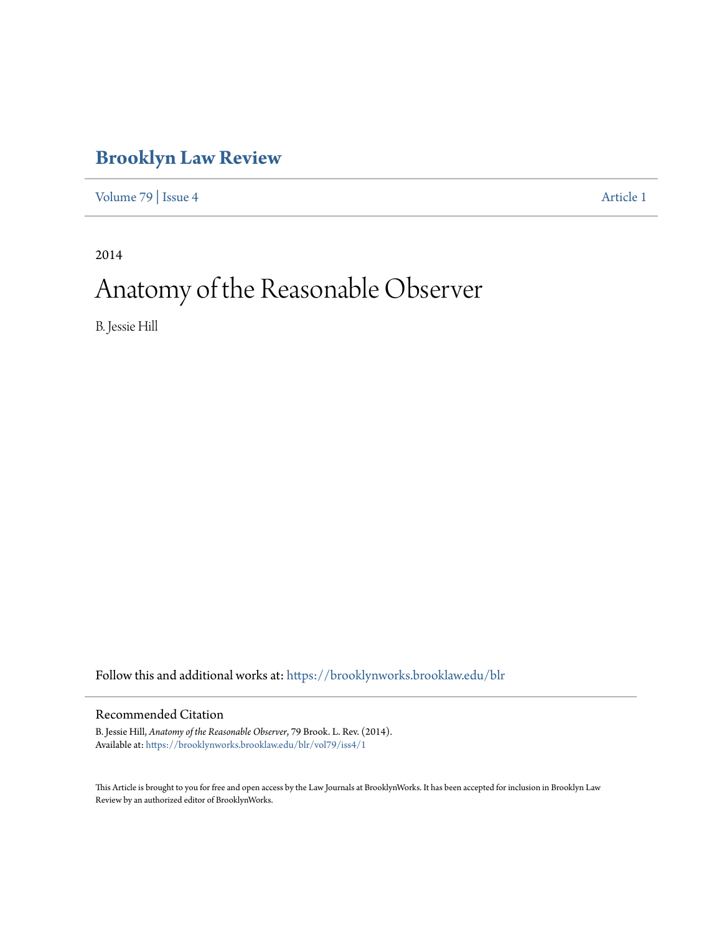# **[Brooklyn Law Review](https://brooklynworks.brooklaw.edu/blr?utm_source=brooklynworks.brooklaw.edu%2Fblr%2Fvol79%2Fiss4%2F1&utm_medium=PDF&utm_campaign=PDFCoverPages)**

[Volume 79](https://brooklynworks.brooklaw.edu/blr/vol79?utm_source=brooklynworks.brooklaw.edu%2Fblr%2Fvol79%2Fiss4%2F1&utm_medium=PDF&utm_campaign=PDFCoverPages) | [Issue 4](https://brooklynworks.brooklaw.edu/blr/vol79/iss4?utm_source=brooklynworks.brooklaw.edu%2Fblr%2Fvol79%2Fiss4%2F1&utm_medium=PDF&utm_campaign=PDFCoverPages) [Article 1](https://brooklynworks.brooklaw.edu/blr/vol79/iss4/1?utm_source=brooklynworks.brooklaw.edu%2Fblr%2Fvol79%2Fiss4%2F1&utm_medium=PDF&utm_campaign=PDFCoverPages)

2014

# Anatomy of the Reasonable Observer

B. Jessie Hill

Follow this and additional works at: [https://brooklynworks.brooklaw.edu/blr](https://brooklynworks.brooklaw.edu/blr?utm_source=brooklynworks.brooklaw.edu%2Fblr%2Fvol79%2Fiss4%2F1&utm_medium=PDF&utm_campaign=PDFCoverPages)

# Recommended Citation

B. Jessie Hill, *Anatomy of the Reasonable Observer*, 79 Brook. L. Rev. (2014). Available at: [https://brooklynworks.brooklaw.edu/blr/vol79/iss4/1](https://brooklynworks.brooklaw.edu/blr/vol79/iss4/1?utm_source=brooklynworks.brooklaw.edu%2Fblr%2Fvol79%2Fiss4%2F1&utm_medium=PDF&utm_campaign=PDFCoverPages)

This Article is brought to you for free and open access by the Law Journals at BrooklynWorks. It has been accepted for inclusion in Brooklyn Law Review by an authorized editor of BrooklynWorks.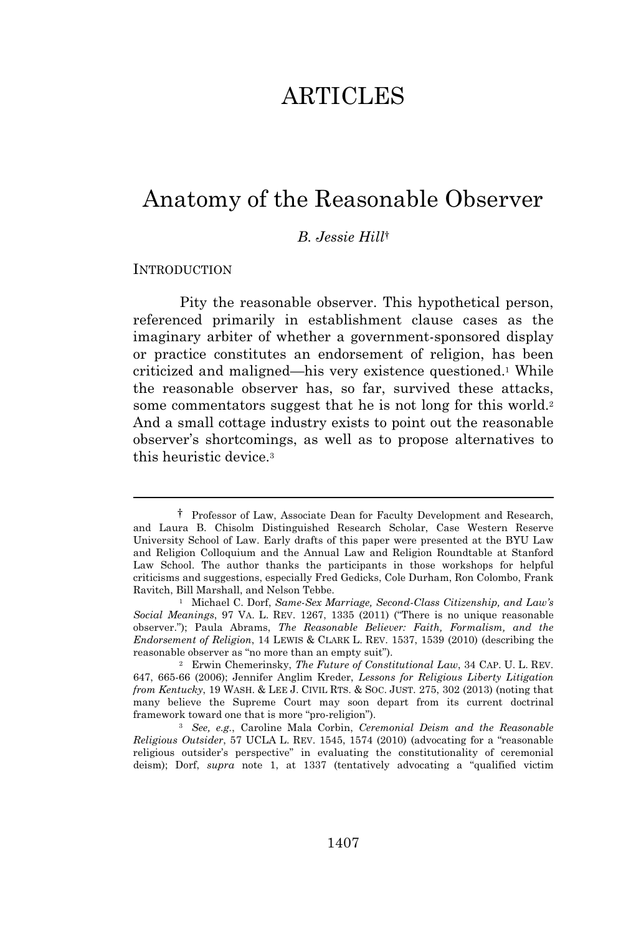# **ARTICLES**

# Anatomy of the Reasonable Observer

# *B. Jessie Hill*†

### **INTRODUCTION**

Pity the reasonable observer. This hypothetical person, referenced primarily in establishment clause cases as the imaginary arbiter of whether a government-sponsored display or practice constitutes an endorsement of religion, has been criticized and maligned—his very existence questioned.<sup>1</sup> While the reasonable observer has, so far, survived these attacks, some commentators suggest that he is not long for this world.<sup>2</sup> And a small cottage industry exists to point out the reasonable observer's shortcomings, as well as to propose alternatives to this heuristic device.<sup>3</sup>

<sup>†</sup> Professor of Law, Associate Dean for Faculty Development and Research, and Laura B. Chisolm Distinguished Research Scholar, Case Western Reserve University School of Law. Early drafts of this paper were presented at the BYU Law and Religion Colloquium and the Annual Law and Religion Roundtable at Stanford Law School. The author thanks the participants in those workshops for helpful criticisms and suggestions, especially Fred Gedicks, Cole Durham, Ron Colombo, Frank Ravitch, Bill Marshall, and Nelson Tebbe.

<sup>1</sup> Michael C. Dorf, *Same-Sex Marriage, Second-Class Citizenship, and Law's Social Meanings*, 97 VA. L. REV. 1267, 1335 (2011) ("There is no unique reasonable observer."); Paula Abrams, *The Reasonable Believer: Faith, Formalism, and the Endorsement of Religion*, 14 LEWIS & CLARK L. REV. 1537, 1539 (2010) (describing the reasonable observer as "no more than an empty suit").

<sup>2</sup> Erwin Chemerinsky, *The Future of Constitutional Law*, 34 CAP. U. L. REV. 647, 665-66 (2006); Jennifer Anglim Kreder, *Lessons for Religious Liberty Litigation from Kentucky*, 19 WASH. & LEE J. CIVIL RTS. & SOC. JUST. 275, 302 (2013) (noting that many believe the Supreme Court may soon depart from its current doctrinal framework toward one that is more "pro-religion").

<sup>3</sup> *See, e.g.*, Caroline Mala Corbin, *Ceremonial Deism and the Reasonable Religious Outsider*, 57 UCLA L. REV. 1545, 1574 (2010) (advocating for a "reasonable religious outsider's perspective" in evaluating the constitutionality of ceremonial deism); Dorf, *supra* note 1, at 1337 (tentatively advocating a "qualified victim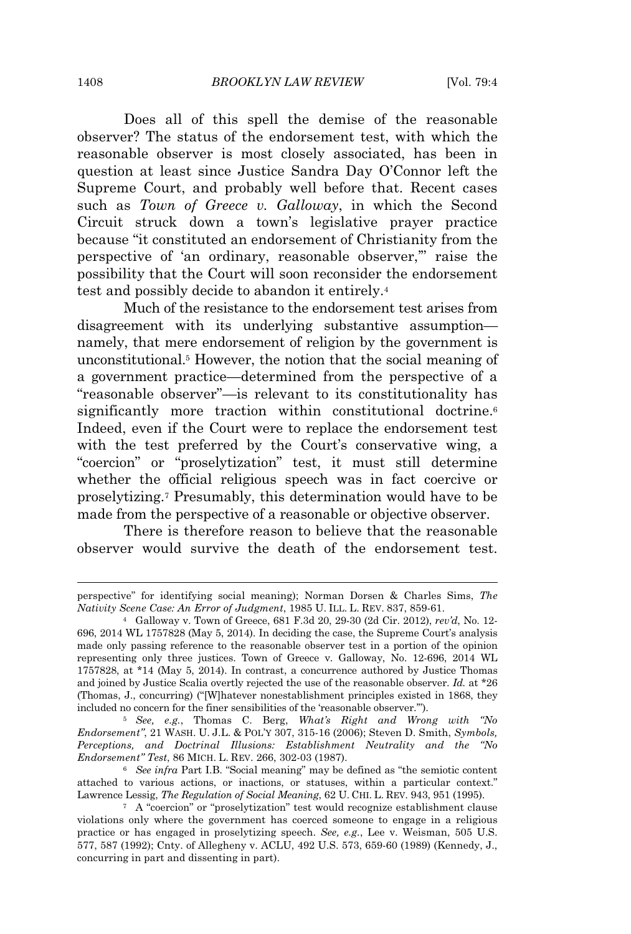Does all of this spell the demise of the reasonable observer? The status of the endorsement test, with which the reasonable observer is most closely associated, has been in question at least since Justice Sandra Day O'Connor left the Supreme Court, and probably well before that. Recent cases such as *Town of Greece v. Galloway*, in which the Second Circuit struck down a town's legislative prayer practice because "it constituted an endorsement of Christianity from the perspective of 'an ordinary, reasonable observer,'" raise the possibility that the Court will soon reconsider the endorsement test and possibly decide to abandon it entirely.<sup>4</sup>

Much of the resistance to the endorsement test arises from disagreement with its underlying substantive assumption namely, that mere endorsement of religion by the government is unconstitutional.<sup>5</sup> However, the notion that the social meaning of a government practice—determined from the perspective of a "reasonable observer"—is relevant to its constitutionality has significantly more traction within constitutional doctrine.<sup>6</sup> Indeed, even if the Court were to replace the endorsement test with the test preferred by the Court's conservative wing, a "coercion" or "proselytization" test, it must still determine whether the official religious speech was in fact coercive or proselytizing.<sup>7</sup> Presumably, this determination would have to be made from the perspective of a reasonable or objective observer.

There is therefore reason to believe that the reasonable observer would survive the death of the endorsement test.

perspective" for identifying social meaning); Norman Dorsen & Charles Sims, *The Nativity Scene Case: An Error of Judgment*, 1985 U. ILL. L. REV. 837, 859-61.

<sup>4</sup> Galloway v. Town of Greece, 681 F.3d 20, 29-30 (2d Cir. 2012), *rev'd*, No. 12- 696, 2014 WL 1757828 (May 5, 2014). In deciding the case, the Supreme Court's analysis made only passing reference to the reasonable observer test in a portion of the opinion representing only three justices. Town of Greece v. Galloway, No. 12-696, 2014 WL 1757828, at \*14 (May 5, 2014). In contrast, a concurrence authored by Justice Thomas and joined by Justice Scalia overtly rejected the use of the reasonable observer. *Id.* at \*26 (Thomas, J., concurring) ("[W]hatever nonestablishment principles existed in 1868, they included no concern for the finer sensibilities of the 'reasonable observer.'").

<sup>5</sup> *See, e.g.*, Thomas C. Berg, *What's Right and Wrong with "No Endorsement"*, 21 WASH. U. J.L. & POL'<sup>Y</sup> 307, 315-16 (2006); Steven D. Smith, *Symbols, Perceptions, and Doctrinal Illusions: Establishment Neutrality and the "No Endorsement" Test*, 86 MICH. L. REV. 266, 302-03 (1987).

<sup>6</sup> *See infra* Part I.B. "Social meaning" may be defined as "the semiotic content attached to various actions, or inactions, or statuses, within a particular context." Lawrence Lessig, *The Regulation of Social Meaning*, 62 U. CHI. L. REV. 943, 951 (1995).

<sup>7</sup> A "coercion" or "proselytization" test would recognize establishment clause violations only where the government has coerced someone to engage in a religious practice or has engaged in proselytizing speech. *See, e.g.*, Lee v. Weisman, 505 U.S. 577, 587 (1992); Cnty. of Allegheny v. ACLU, 492 U.S. 573, 659-60 (1989) (Kennedy, J., concurring in part and dissenting in part).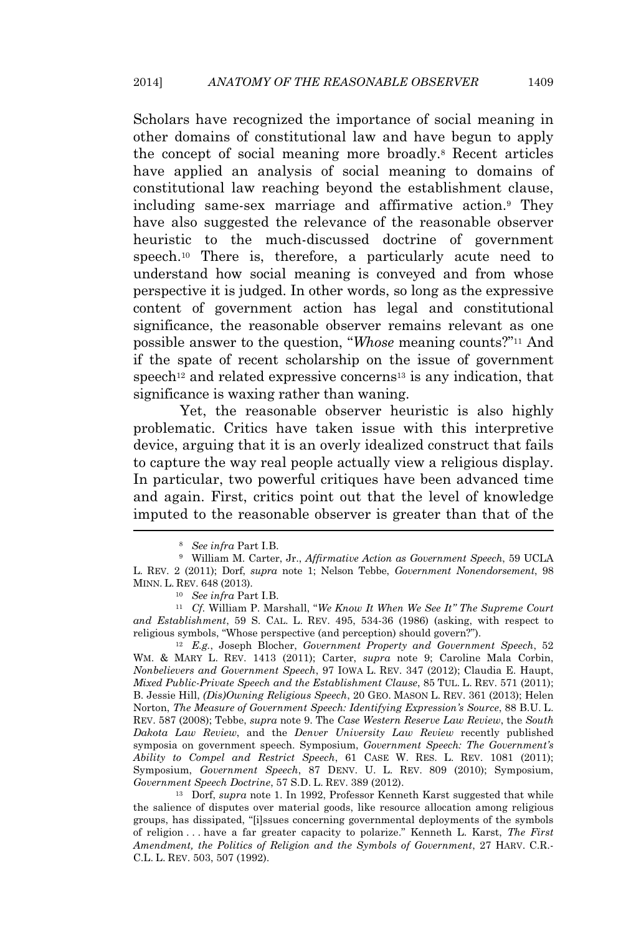Scholars have recognized the importance of social meaning in other domains of constitutional law and have begun to apply the concept of social meaning more broadly.<sup>8</sup> Recent articles have applied an analysis of social meaning to domains of constitutional law reaching beyond the establishment clause, including same-sex marriage and affirmative action.<sup>9</sup> They have also suggested the relevance of the reasonable observer heuristic to the much-discussed doctrine of government speech.<sup>10</sup> There is, therefore, a particularly acute need to understand how social meaning is conveyed and from whose perspective it is judged. In other words, so long as the expressive content of government action has legal and constitutional significance, the reasonable observer remains relevant as one possible answer to the question, "*Whose* meaning counts?" <sup>11</sup> And if the spate of recent scholarship on the issue of government speech<sup>12</sup> and related expressive concerns<sup>13</sup> is any indication, that significance is waxing rather than waning.

Yet, the reasonable observer heuristic is also highly problematic. Critics have taken issue with this interpretive device, arguing that it is an overly idealized construct that fails to capture the way real people actually view a religious display. In particular, two powerful critiques have been advanced time and again. First, critics point out that the level of knowledge imputed to the reasonable observer is greater than that of the

<sup>12</sup> *E.g.*, Joseph Blocher, *Government Property and Government Speech*, 52 WM. & MARY L. REV. 1413 (2011); Carter, *supra* note 9; Caroline Mala Corbin, *Nonbelievers and Government Speech*, 97 IOWA L. REV. 347 (2012); Claudia E. Haupt, *Mixed Public-Private Speech and the Establishment Clause*, 85 TUL. L. REV. 571 (2011); B. Jessie Hill, *(Dis)Owning Religious Speech*, 20 GEO. MASON L. REV. 361 (2013); Helen Norton, *The Measure of Government Speech: Identifying Expression's Source*, 88 B.U. L. REV. 587 (2008); Tebbe, *supra* note 9. The *Case Western Reserve Law Review*, the *South Dakota Law Review*, and the *Denver University Law Review* recently published symposia on government speech. Symposium, *Government Speech: The Government's Ability to Compel and Restrict Speech*, 61 CASE W. RES. L. REV. 1081 (2011); Symposium, *Government Speech*, 87 DENV. U. L. REV. 809 (2010); Symposium, *Government Speech Doctrine*, 57 S.D. L. REV. 389 (2012).

<sup>13</sup> Dorf, *supra* note 1. In 1992, Professor Kenneth Karst suggested that while the salience of disputes over material goods, like resource allocation among religious groups, has dissipated, "[i]ssues concerning governmental deployments of the symbols of religion . . . have a far greater capacity to polarize." Kenneth L. Karst, *The First Amendment, the Politics of Religion and the Symbols of Government*, 27 HARV. C.R.- C.L. L. REV. 503, 507 (1992).

<sup>8</sup> *See infra* Part I.B.

<sup>9</sup> William M. Carter, Jr., *Affirmative Action as Government Speech*, 59 UCLA L. REV. 2 (2011); Dorf, *supra* note 1; Nelson Tebbe, *Government Nonendorsement*, 98 MINN. L. REV. 648 (2013).

<sup>10</sup> *See infra* Part I.B.

<sup>11</sup> *Cf.* William P. Marshall, "*We Know It When We See It" The Supreme Court and Establishment*, 59 S. CAL. L. REV. 495, 534-36 (1986) (asking, with respect to religious symbols, "Whose perspective (and perception) should govern?").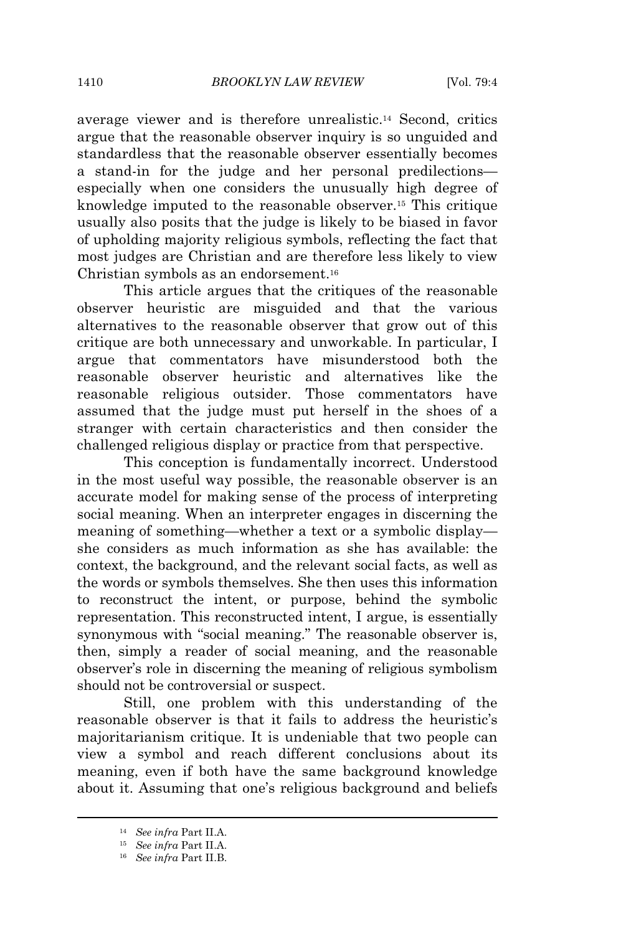average viewer and is therefore unrealistic.<sup>14</sup> Second, critics argue that the reasonable observer inquiry is so unguided and standardless that the reasonable observer essentially becomes a stand-in for the judge and her personal predilections especially when one considers the unusually high degree of knowledge imputed to the reasonable observer.<sup>15</sup> This critique usually also posits that the judge is likely to be biased in favor of upholding majority religious symbols, reflecting the fact that most judges are Christian and are therefore less likely to view Christian symbols as an endorsement.<sup>16</sup>

This article argues that the critiques of the reasonable observer heuristic are misguided and that the various alternatives to the reasonable observer that grow out of this critique are both unnecessary and unworkable. In particular, I argue that commentators have misunderstood both the reasonable observer heuristic and alternatives like the reasonable religious outsider. Those commentators have assumed that the judge must put herself in the shoes of a stranger with certain characteristics and then consider the challenged religious display or practice from that perspective.

This conception is fundamentally incorrect. Understood in the most useful way possible, the reasonable observer is an accurate model for making sense of the process of interpreting social meaning. When an interpreter engages in discerning the meaning of something—whether a text or a symbolic display she considers as much information as she has available: the context, the background, and the relevant social facts, as well as the words or symbols themselves. She then uses this information to reconstruct the intent, or purpose, behind the symbolic representation. This reconstructed intent, I argue, is essentially synonymous with "social meaning." The reasonable observer is, then, simply a reader of social meaning, and the reasonable observer's role in discerning the meaning of religious symbolism should not be controversial or suspect.

Still, one problem with this understanding of the reasonable observer is that it fails to address the heuristic's majoritarianism critique. It is undeniable that two people can view a symbol and reach different conclusions about its meaning, even if both have the same background knowledge about it. Assuming that one's religious background and beliefs

<sup>14</sup> *See infra* Part II.A.

<sup>15</sup> *See infra* Part II.A.

<sup>16</sup> *See infra* Part II.B.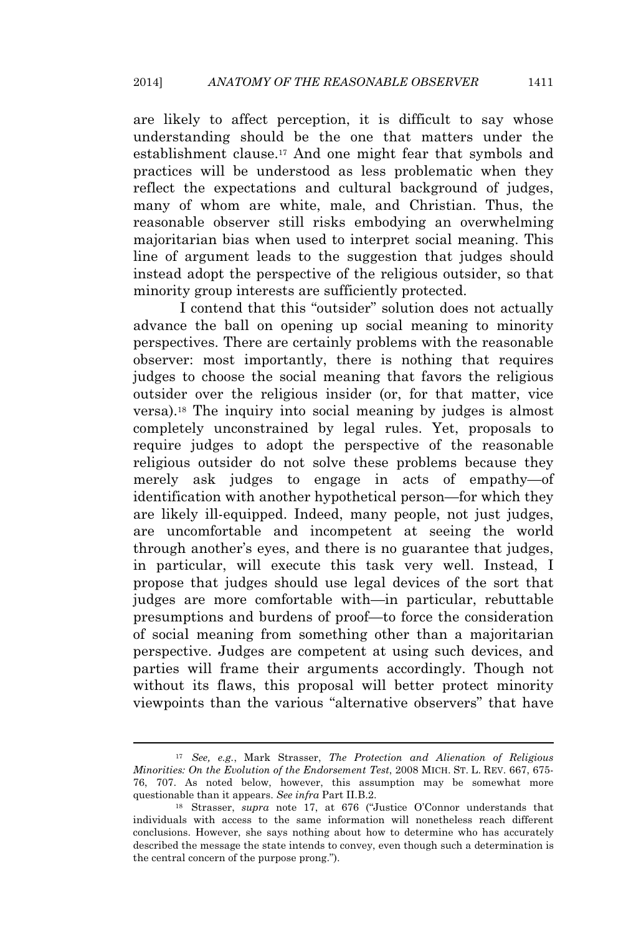are likely to affect perception, it is difficult to say whose understanding should be the one that matters under the establishment clause.<sup>17</sup> And one might fear that symbols and practices will be understood as less problematic when they reflect the expectations and cultural background of judges, many of whom are white, male, and Christian. Thus, the reasonable observer still risks embodying an overwhelming majoritarian bias when used to interpret social meaning. This line of argument leads to the suggestion that judges should instead adopt the perspective of the religious outsider, so that minority group interests are sufficiently protected.

I contend that this "outsider" solution does not actually advance the ball on opening up social meaning to minority perspectives. There are certainly problems with the reasonable observer: most importantly, there is nothing that requires judges to choose the social meaning that favors the religious outsider over the religious insider (or, for that matter, vice versa).<sup>18</sup> The inquiry into social meaning by judges is almost completely unconstrained by legal rules. Yet, proposals to require judges to adopt the perspective of the reasonable religious outsider do not solve these problems because they merely ask judges to engage in acts of empathy—of identification with another hypothetical person—for which they are likely ill-equipped. Indeed, many people, not just judges, are uncomfortable and incompetent at seeing the world through another's eyes, and there is no guarantee that judges, in particular, will execute this task very well. Instead, I propose that judges should use legal devices of the sort that judges are more comfortable with—in particular, rebuttable presumptions and burdens of proof—to force the consideration of social meaning from something other than a majoritarian perspective. Judges are competent at using such devices, and parties will frame their arguments accordingly. Though not without its flaws, this proposal will better protect minority viewpoints than the various "alternative observers" that have

<sup>17</sup> *See, e.g.*, Mark Strasser, *The Protection and Alienation of Religious Minorities: On the Evolution of the Endorsement Test*, 2008 MICH. ST. L. REV. 667, 675- 76, 707. As noted below, however, this assumption may be somewhat more questionable than it appears. *See infra* Part II.B.2.

<sup>18</sup> Strasser, *supra* note 17, at 676 ("Justice O'Connor understands that individuals with access to the same information will nonetheless reach different conclusions. However, she says nothing about how to determine who has accurately described the message the state intends to convey, even though such a determination is the central concern of the purpose prong.").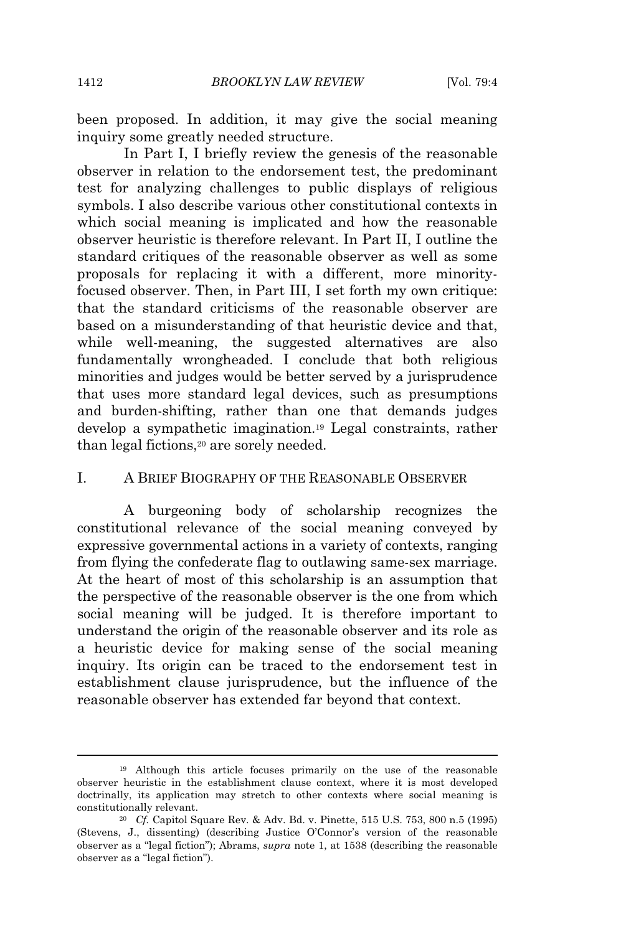been proposed. In addition, it may give the social meaning inquiry some greatly needed structure.

In Part I, I briefly review the genesis of the reasonable observer in relation to the endorsement test, the predominant test for analyzing challenges to public displays of religious symbols. I also describe various other constitutional contexts in which social meaning is implicated and how the reasonable observer heuristic is therefore relevant. In Part II, I outline the standard critiques of the reasonable observer as well as some proposals for replacing it with a different, more minorityfocused observer. Then, in Part III, I set forth my own critique: that the standard criticisms of the reasonable observer are based on a misunderstanding of that heuristic device and that, while well-meaning, the suggested alternatives are also fundamentally wrongheaded. I conclude that both religious minorities and judges would be better served by a jurisprudence that uses more standard legal devices, such as presumptions and burden-shifting, rather than one that demands judges develop a sympathetic imagination.<sup>19</sup> Legal constraints, rather than legal fictions,<sup>20</sup> are sorely needed.

# I. A BRIEF BIOGRAPHY OF THE REASONABLE OBSERVER

A burgeoning body of scholarship recognizes the constitutional relevance of the social meaning conveyed by expressive governmental actions in a variety of contexts, ranging from flying the confederate flag to outlawing same-sex marriage. At the heart of most of this scholarship is an assumption that the perspective of the reasonable observer is the one from which social meaning will be judged. It is therefore important to understand the origin of the reasonable observer and its role as a heuristic device for making sense of the social meaning inquiry. Its origin can be traced to the endorsement test in establishment clause jurisprudence, but the influence of the reasonable observer has extended far beyond that context.

<sup>19</sup> Although this article focuses primarily on the use of the reasonable observer heuristic in the establishment clause context, where it is most developed doctrinally, its application may stretch to other contexts where social meaning is constitutionally relevant.

<sup>20</sup> *Cf.* Capitol Square Rev. & Adv. Bd. v. Pinette, 515 U.S. 753, 800 n.5 (1995) (Stevens, J., dissenting) (describing Justice O'Connor's version of the reasonable observer as a "legal fiction"); Abrams, *supra* note 1, at 1538 (describing the reasonable observer as a "legal fiction").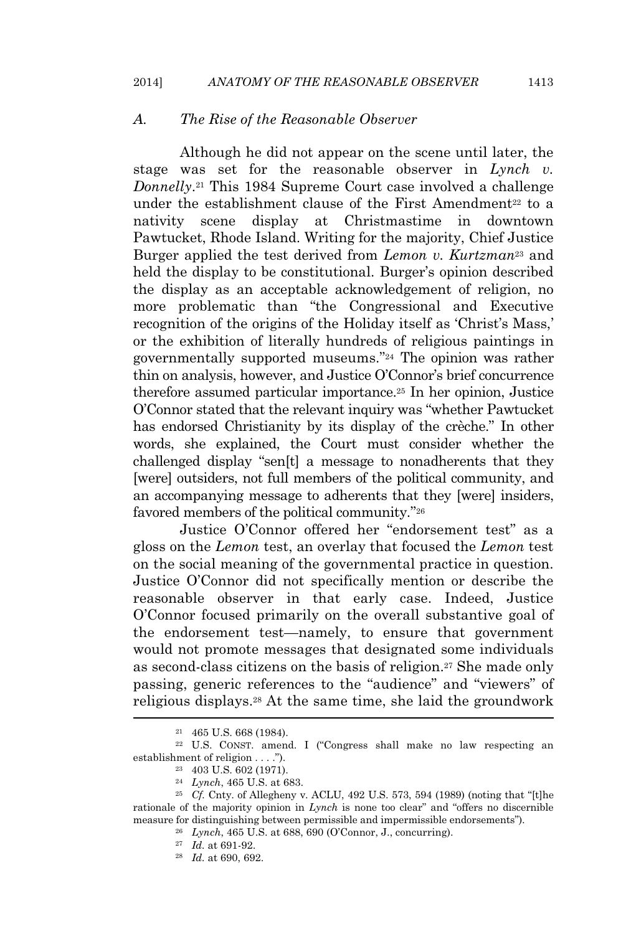### *A. The Rise of the Reasonable Observer*

Although he did not appear on the scene until later, the stage was set for the reasonable observer in *Lynch v. Donnelly*. <sup>21</sup> This 1984 Supreme Court case involved a challenge under the establishment clause of the First Amendment<sup>22</sup> to a nativity scene display at Christmastime in downtown Pawtucket, Rhode Island. Writing for the majority, Chief Justice Burger applied the test derived from *Lemon v. Kurtzman*<sup>23</sup> and held the display to be constitutional. Burger's opinion described the display as an acceptable acknowledgement of religion, no more problematic than "the Congressional and Executive recognition of the origins of the Holiday itself as 'Christ's Mass,' or the exhibition of literally hundreds of religious paintings in governmentally supported museums." <sup>24</sup> The opinion was rather thin on analysis, however, and Justice O'Connor's brief concurrence therefore assumed particular importance.<sup>25</sup> In her opinion, Justice O'Connor stated that the relevant inquiry was "whether Pawtucket has endorsed Christianity by its display of the crèche." In other words, she explained, the Court must consider whether the challenged display "sen[t] a message to nonadherents that they [were] outsiders, not full members of the political community, and an accompanying message to adherents that they [were] insiders, favored members of the political community."<sup>26</sup>

Justice O'Connor offered her "endorsement test" as a gloss on the *Lemon* test, an overlay that focused the *Lemon* test on the social meaning of the governmental practice in question. Justice O'Connor did not specifically mention or describe the reasonable observer in that early case. Indeed, Justice O'Connor focused primarily on the overall substantive goal of the endorsement test—namely, to ensure that government would not promote messages that designated some individuals as second-class citizens on the basis of religion.<sup>27</sup> She made only passing, generic references to the "audience" and "viewers" of religious displays.<sup>28</sup> At the same time, she laid the groundwork

<sup>21</sup> 465 U.S. 668 (1984).

<sup>22</sup> U.S. CONST. amend. I ("Congress shall make no law respecting an establishment of religion . . . .").

<sup>23</sup> 403 U.S. 602 (1971).

<sup>24</sup> *Lynch*, 465 U.S. at 683.

<sup>25</sup> *Cf.* Cnty. of Allegheny v. ACLU, 492 U.S. 573, 594 (1989) (noting that "[t]he rationale of the majority opinion in *Lynch* is none too clear" and "offers no discernible measure for distinguishing between permissible and impermissible endorsements").

<sup>26</sup> *Lynch*, 465 U.S. at 688, 690 (O'Connor, J., concurring).

<sup>27</sup> *Id.* at 691-92.

<sup>28</sup> *Id.* at 690, 692.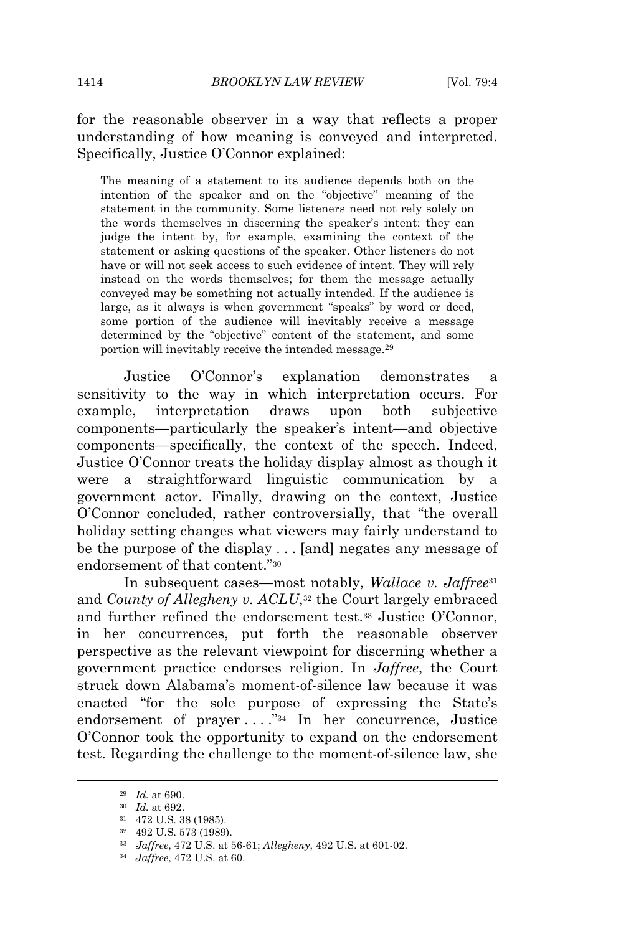for the reasonable observer in a way that reflects a proper understanding of how meaning is conveyed and interpreted. Specifically, Justice O'Connor explained:

The meaning of a statement to its audience depends both on the intention of the speaker and on the "objective" meaning of the statement in the community. Some listeners need not rely solely on the words themselves in discerning the speaker's intent: they can judge the intent by, for example, examining the context of the statement or asking questions of the speaker. Other listeners do not have or will not seek access to such evidence of intent. They will rely instead on the words themselves; for them the message actually conveyed may be something not actually intended. If the audience is large, as it always is when government "speaks" by word or deed, some portion of the audience will inevitably receive a message determined by the "objective" content of the statement, and some portion will inevitably receive the intended message.<sup>29</sup>

Justice O'Connor's explanation demonstrates a sensitivity to the way in which interpretation occurs. For example, interpretation draws upon both subjective components—particularly the speaker's intent—and objective components—specifically, the context of the speech. Indeed, Justice O'Connor treats the holiday display almost as though it were a straightforward linguistic communication by a government actor. Finally, drawing on the context, Justice O'Connor concluded, rather controversially, that "the overall holiday setting changes what viewers may fairly understand to be the purpose of the display . . . [and] negates any message of endorsement of that content." 30

In subsequent cases—most notably, *Wallace v. Jaffree*<sup>31</sup> and *County of Allegheny v. ACLU*, <sup>32</sup> the Court largely embraced and further refined the endorsement test.<sup>33</sup> Justice O'Connor, in her concurrences, put forth the reasonable observer perspective as the relevant viewpoint for discerning whether a government practice endorses religion. In *Jaffree*, the Court struck down Alabama's moment-of-silence law because it was enacted "for the sole purpose of expressing the State's endorsement of prayer ...."<sup>34</sup> In her concurrence, Justice O'Connor took the opportunity to expand on the endorsement test. Regarding the challenge to the moment-of-silence law, she

<sup>29</sup> *Id.* at 690.

<sup>30</sup> *Id.* at 692.

<sup>31</sup> 472 U.S. 38 (1985).

<sup>32</sup> 492 U.S. 573 (1989).

<sup>33</sup> *Jaffree*, 472 U.S. at 56-61; *Allegheny*, 492 U.S. at 601-02.

<sup>34</sup> *Jaffree*, 472 U.S. at 60.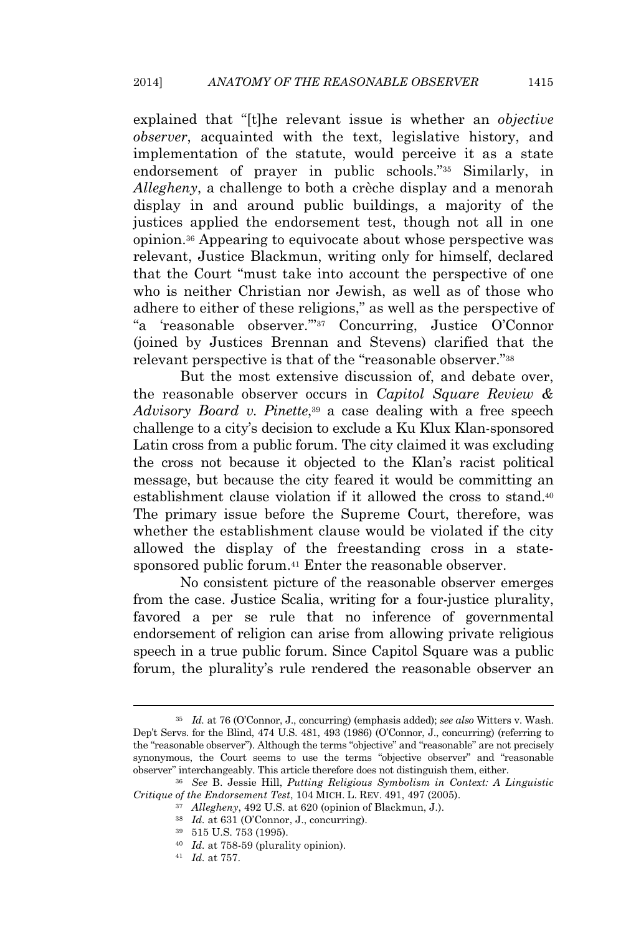explained that "[t]he relevant issue is whether an *objective observer*, acquainted with the text, legislative history, and implementation of the statute, would perceive it as a state endorsement of prayer in public schools." <sup>35</sup> Similarly, in *Allegheny*, a challenge to both a crèche display and a menorah display in and around public buildings, a majority of the justices applied the endorsement test, though not all in one opinion.<sup>36</sup> Appearing to equivocate about whose perspective was relevant, Justice Blackmun, writing only for himself, declared that the Court "must take into account the perspective of one who is neither Christian nor Jewish, as well as of those who adhere to either of these religions," as well as the perspective of "a 'reasonable observer.'" <sup>37</sup> Concurring, Justice O'Connor (joined by Justices Brennan and Stevens) clarified that the relevant perspective is that of the "reasonable observer."<sup>38</sup>

But the most extensive discussion of, and debate over, the reasonable observer occurs in *Capitol Square Review & Advisory Board v. Pinette*, <sup>39</sup> a case dealing with a free speech challenge to a city's decision to exclude a Ku Klux Klan-sponsored Latin cross from a public forum. The city claimed it was excluding the cross not because it objected to the Klan's racist political message, but because the city feared it would be committing an establishment clause violation if it allowed the cross to stand.<sup>40</sup> The primary issue before the Supreme Court, therefore, was whether the establishment clause would be violated if the city allowed the display of the freestanding cross in a statesponsored public forum.<sup>41</sup> Enter the reasonable observer.

No consistent picture of the reasonable observer emerges from the case. Justice Scalia, writing for a four-justice plurality, favored a per se rule that no inference of governmental endorsement of religion can arise from allowing private religious speech in a true public forum. Since Capitol Square was a public forum, the plurality's rule rendered the reasonable observer an

<sup>35</sup> *Id.* at 76 (O'Connor, J., concurring) (emphasis added); *see also* Witters v. Wash. Dep't Servs. for the Blind, 474 U.S. 481, 493 (1986) (O'Connor, J., concurring) (referring to the "reasonable observer"). Although the terms "objective" and "reasonable" are not precisely synonymous, the Court seems to use the terms "objective observer" and "reasonable observer" interchangeably. This article therefore does not distinguish them, either.

<sup>36</sup> *See* B. Jessie Hill, *Putting Religious Symbolism in Context: A Linguistic Critique of the Endorsement Test*, 104 MICH. L. REV. 491, 497 (2005).

<sup>37</sup> *Allegheny*, 492 U.S. at 620 (opinion of Blackmun, J.).

<sup>38</sup> *Id.* at 631 (O'Connor, J., concurring).

<sup>39</sup> 515 U.S. 753 (1995).

<sup>40</sup> *Id.* at 758-59 (plurality opinion).

<sup>41</sup> *Id.* at 757.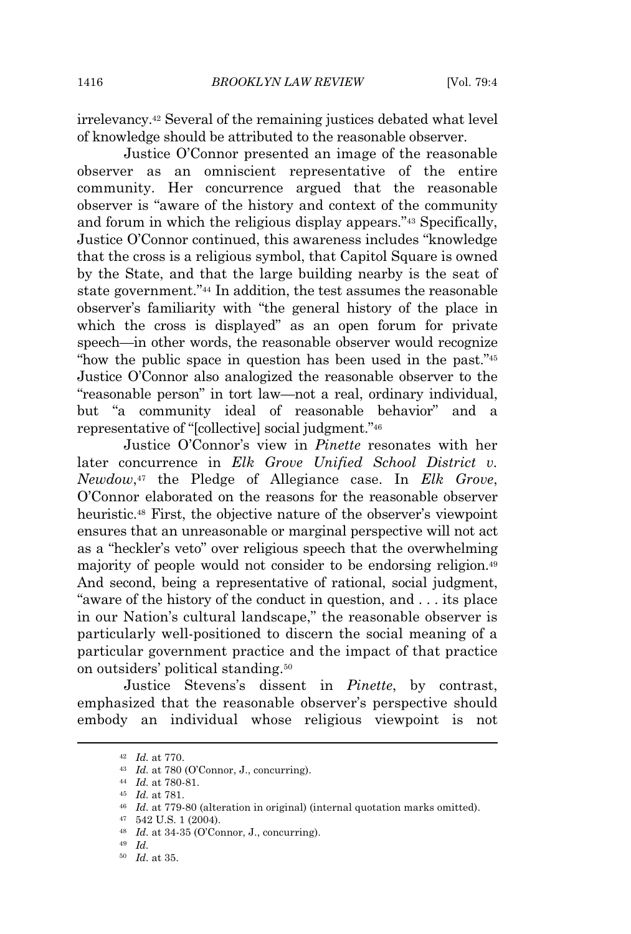irrelevancy.<sup>42</sup> Several of the remaining justices debated what level of knowledge should be attributed to the reasonable observer.

Justice O'Connor presented an image of the reasonable observer as an omniscient representative of the entire community. Her concurrence argued that the reasonable observer is "aware of the history and context of the community and forum in which the religious display appears." <sup>43</sup> Specifically, Justice O'Connor continued, this awareness includes "knowledge that the cross is a religious symbol, that Capitol Square is owned by the State, and that the large building nearby is the seat of state government." <sup>44</sup> In addition, the test assumes the reasonable observer's familiarity with "the general history of the place in which the cross is displayed" as an open forum for private speech—in other words, the reasonable observer would recognize "how the public space in question has been used in the past."<sup>45</sup> Justice O'Connor also analogized the reasonable observer to the "reasonable person" in tort law—not a real, ordinary individual, but "a community ideal of reasonable behavior" and a representative of "[collective] social judgment." 46

Justice O'Connor's view in *Pinette* resonates with her later concurrence in *Elk Grove Unified School District v. Newdow*, <sup>47</sup> the Pledge of Allegiance case. In *Elk Grove*, O'Connor elaborated on the reasons for the reasonable observer heuristic.<sup>48</sup> First, the objective nature of the observer's viewpoint ensures that an unreasonable or marginal perspective will not act as a "heckler's veto" over religious speech that the overwhelming majority of people would not consider to be endorsing religion.<sup>49</sup> And second, being a representative of rational, social judgment, "aware of the history of the conduct in question, and . . . its place in our Nation's cultural landscape," the reasonable observer is particularly well-positioned to discern the social meaning of a particular government practice and the impact of that practice on outsiders' political standing.<sup>50</sup>

Justice Stevens's dissent in *Pinette*, by contrast, emphasized that the reasonable observer's perspective should embody an individual whose religious viewpoint is not

<sup>42</sup> *Id.* at 770.

<sup>43</sup> *Id.* at 780 (O'Connor, J., concurring).

<sup>44</sup> *Id.* at 780-81.

<sup>45</sup> *Id.* at 781.

<sup>46</sup> *Id.* at 779-80 (alteration in original) (internal quotation marks omitted).

<sup>47</sup> 542 U.S. 1 (2004).

<sup>48</sup> *Id.* at 34-35 (O'Connor, J., concurring).

<sup>49</sup> *Id.*

<sup>50</sup> *Id.* at 35.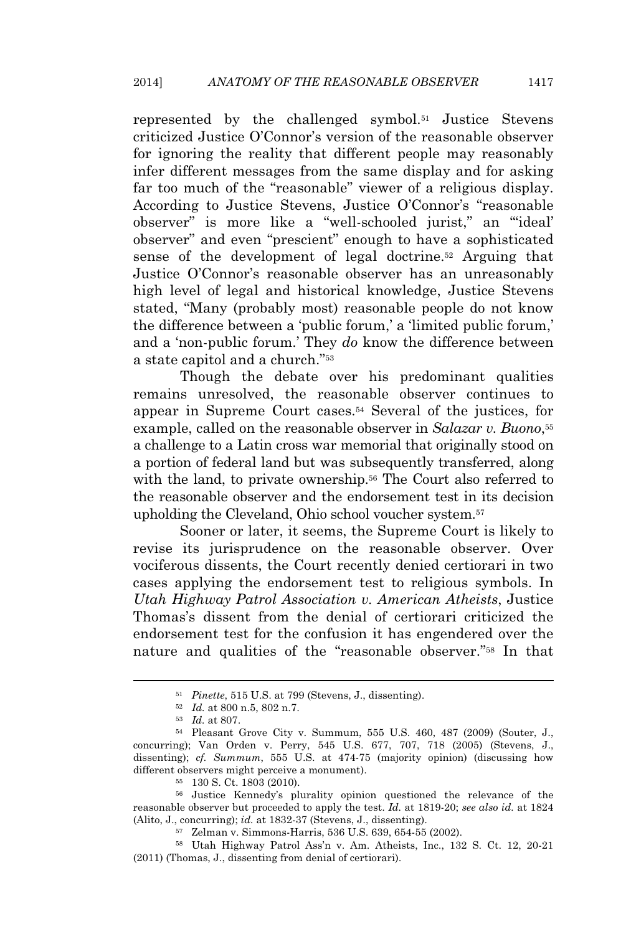represented by the challenged symbol.<sup>51</sup> Justice Stevens criticized Justice O'Connor's version of the reasonable observer for ignoring the reality that different people may reasonably infer different messages from the same display and for asking far too much of the "reasonable" viewer of a religious display. According to Justice Stevens, Justice O'Connor's "reasonable observer" is more like a "well-schooled jurist," an "'ideal' observer" and even "prescient" enough to have a sophisticated sense of the development of legal doctrine.<sup>52</sup> Arguing that Justice O'Connor's reasonable observer has an unreasonably high level of legal and historical knowledge, Justice Stevens stated, "Many (probably most) reasonable people do not know the difference between a 'public forum,' a 'limited public forum,' and a 'non-public forum.' They *do* know the difference between a state capitol and a church." 53

Though the debate over his predominant qualities remains unresolved, the reasonable observer continues to appear in Supreme Court cases.<sup>54</sup> Several of the justices, for example, called on the reasonable observer in *Salazar v. Buono*, 55 a challenge to a Latin cross war memorial that originally stood on a portion of federal land but was subsequently transferred, along with the land, to private ownership.<sup>56</sup> The Court also referred to the reasonable observer and the endorsement test in its decision upholding the Cleveland, Ohio school voucher system.<sup>57</sup>

Sooner or later, it seems, the Supreme Court is likely to revise its jurisprudence on the reasonable observer. Over vociferous dissents, the Court recently denied certiorari in two cases applying the endorsement test to religious symbols. In *Utah Highway Patrol Association v. American Atheists*, Justice Thomas's dissent from the denial of certiorari criticized the endorsement test for the confusion it has engendered over the nature and qualities of the "reasonable observer." <sup>58</sup> In that

<sup>51</sup> *Pinette*, 515 U.S. at 799 (Stevens, J., dissenting).

<sup>52</sup> *Id.* at 800 n.5, 802 n.7.

<sup>53</sup> *Id.* at 807.

<sup>54</sup> Pleasant Grove City v. Summum, 555 U.S. 460, 487 (2009) (Souter, J., concurring); Van Orden v. Perry, 545 U.S. 677, 707, 718 (2005) (Stevens, J., dissenting); *cf. Summum*, 555 U.S. at 474-75 (majority opinion) (discussing how different observers might perceive a monument).

<sup>55</sup> 130 S. Ct. 1803 (2010).

<sup>56</sup> Justice Kennedy's plurality opinion questioned the relevance of the reasonable observer but proceeded to apply the test. *Id.* at 1819-20; *see also id.* at 1824 (Alito, J., concurring); *id.* at 1832-37 (Stevens, J., dissenting).

<sup>57</sup> Zelman v. Simmons-Harris, 536 U.S. 639, 654-55 (2002).

<sup>58</sup> Utah Highway Patrol Ass'n v. Am. Atheists, Inc., 132 S. Ct. 12, 20-21 (2011) (Thomas, J., dissenting from denial of certiorari).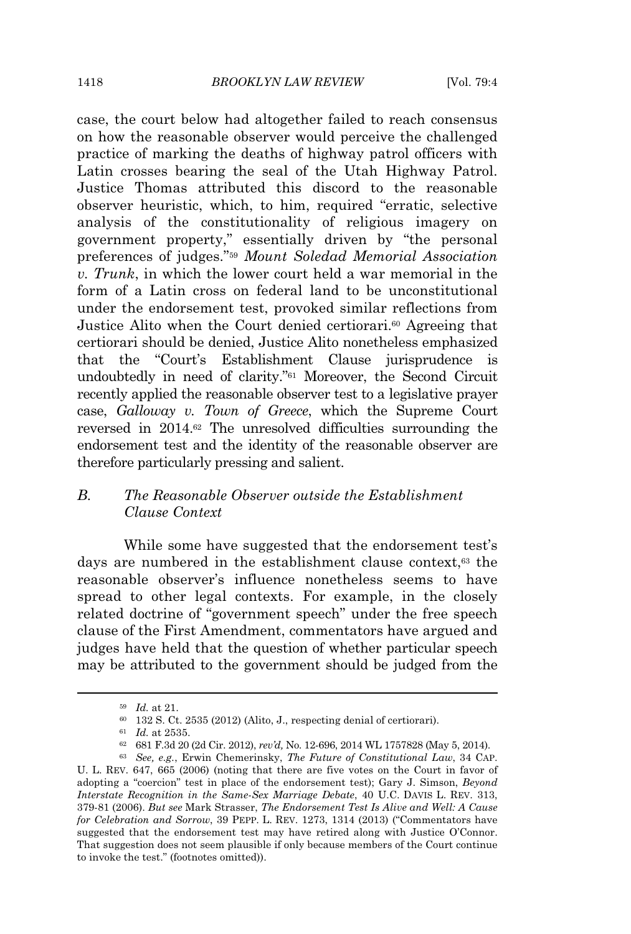case, the court below had altogether failed to reach consensus on how the reasonable observer would perceive the challenged practice of marking the deaths of highway patrol officers with Latin crosses bearing the seal of the Utah Highway Patrol. Justice Thomas attributed this discord to the reasonable observer heuristic, which, to him, required "erratic, selective analysis of the constitutionality of religious imagery on government property," essentially driven by "the personal preferences of judges." <sup>59</sup> *Mount Soledad Memorial Association v. Trunk*, in which the lower court held a war memorial in the form of a Latin cross on federal land to be unconstitutional under the endorsement test, provoked similar reflections from Justice Alito when the Court denied certiorari.<sup>60</sup> Agreeing that certiorari should be denied, Justice Alito nonetheless emphasized that the "Court's Establishment Clause jurisprudence is undoubtedly in need of clarity." <sup>61</sup> Moreover, the Second Circuit recently applied the reasonable observer test to a legislative prayer case, *Galloway v. Town of Greece*, which the Supreme Court reversed in 2014.<sup>62</sup> The unresolved difficulties surrounding the endorsement test and the identity of the reasonable observer are therefore particularly pressing and salient.

# *B. The Reasonable Observer outside the Establishment Clause Context*

While some have suggested that the endorsement test's days are numbered in the establishment clause context,<sup>63</sup> the reasonable observer's influence nonetheless seems to have spread to other legal contexts. For example, in the closely related doctrine of "government speech" under the free speech clause of the First Amendment, commentators have argued and judges have held that the question of whether particular speech may be attributed to the government should be judged from the

<sup>59</sup> *Id.* at 21.

 $60$  132 S. Ct. 2535 (2012) (Alito, J., respecting denial of certiorari).

<sup>61</sup> *Id.* at 2535.

<sup>62</sup> 681 F.3d 20 (2d Cir. 2012), *rev'd,* No. 12-696, 2014 WL 1757828 (May 5, 2014).

<sup>63</sup> *See, e.g.*, Erwin Chemerinsky, *The Future of Constitutional Law*, 34 CAP. U. L. REV. 647, 665 (2006) (noting that there are five votes on the Court in favor of adopting a "coercion" test in place of the endorsement test); Gary J. Simson, *Beyond Interstate Recognition in the Same-Sex Marriage Debate*, 40 U.C. DAVIS L. REV. 313, 379-81 (2006). *But see* Mark Strasser, *The Endorsement Test Is Alive and Well: A Cause for Celebration and Sorrow*, 39 PEPP. L. REV. 1273, 1314 (2013) ("Commentators have suggested that the endorsement test may have retired along with Justice O'Connor. That suggestion does not seem plausible if only because members of the Court continue to invoke the test." (footnotes omitted)).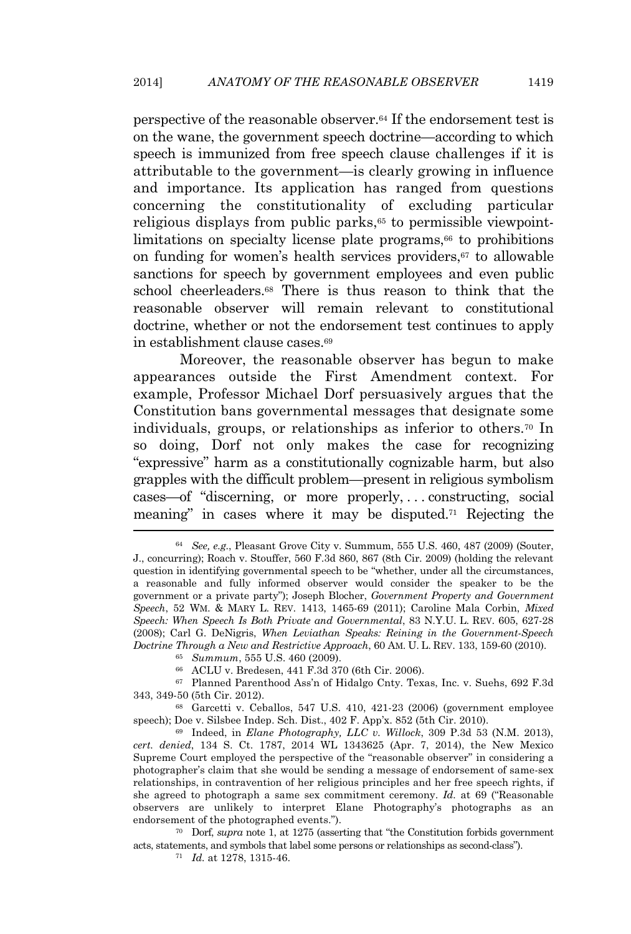perspective of the reasonable observer.<sup>64</sup> If the endorsement test is on the wane, the government speech doctrine—according to which speech is immunized from free speech clause challenges if it is attributable to the government—is clearly growing in influence and importance. Its application has ranged from questions concerning the constitutionality of excluding particular religious displays from public parks, $65$  to permissible viewpointlimitations on specialty license plate programs,<sup>66</sup> to prohibitions on funding for women's health services providers, $67$  to allowable sanctions for speech by government employees and even public school cheerleaders.<sup>68</sup> There is thus reason to think that the reasonable observer will remain relevant to constitutional doctrine, whether or not the endorsement test continues to apply in establishment clause cases.<sup>69</sup>

Moreover, the reasonable observer has begun to make appearances outside the First Amendment context. For example, Professor Michael Dorf persuasively argues that the Constitution bans governmental messages that designate some individuals, groups, or relationships as inferior to others.<sup>70</sup> In so doing, Dorf not only makes the case for recognizing "expressive" harm as a constitutionally cognizable harm, but also grapples with the difficult problem—present in religious symbolism cases—of "discerning, or more properly, . . . constructing, social meaning" in cases where it may be disputed.<sup>71</sup> Rejecting the

<sup>64</sup> *See, e.g.*, Pleasant Grove City v. Summum, 555 U.S. 460, 487 (2009) (Souter, J., concurring); Roach v. Stouffer, 560 F.3d 860, 867 (8th Cir. 2009) (holding the relevant question in identifying governmental speech to be "whether, under all the circumstances, a reasonable and fully informed observer would consider the speaker to be the government or a private party"); Joseph Blocher, *Government Property and Government Speech*, 52 WM. & MARY L. REV. 1413, 1465-69 (2011); Caroline Mala Corbin, *Mixed Speech: When Speech Is Both Private and Governmental*, 83 N.Y.U. L. REV. 605, 627-28 (2008); Carl G. DeNigris, *When Leviathan Speaks: Reining in the Government-Speech Doctrine Through a New and Restrictive Approach*, 60 AM. U. L. REV. 133, 159-60 (2010).

<sup>65</sup> *Summum*, 555 U.S. 460 (2009).

<sup>66</sup> ACLU v. Bredesen, 441 F.3d 370 (6th Cir. 2006).

<sup>67</sup> Planned Parenthood Ass'n of Hidalgo Cnty. Texas, Inc. v. Suehs, 692 F.3d 343, 349-50 (5th Cir. 2012).

<sup>68</sup> Garcetti v. Ceballos, 547 U.S. 410, 421-23 (2006) (government employee speech); Doe v. Silsbee Indep. Sch. Dist., 402 F. App'x. 852 (5th Cir. 2010).

<sup>69</sup> Indeed, in *Elane Photography, LLC v. Willock*, 309 P.3d 53 (N.M. 2013), *cert. denied*, 134 S. Ct. 1787, 2014 WL 1343625 (Apr. 7, 2014), the New Mexico Supreme Court employed the perspective of the "reasonable observer" in considering a photographer's claim that she would be sending a message of endorsement of same-sex relationships, in contravention of her religious principles and her free speech rights, if she agreed to photograph a same sex commitment ceremony. *Id.* at 69 ("Reasonable observers are unlikely to interpret Elane Photography's photographs as an endorsement of the photographed events.").

<sup>70</sup> Dorf, *supra* note 1, at 1275 (asserting that "the Constitution forbids government acts, statements, and symbols that label some persons or relationships as second-class").

<sup>71</sup> *Id.* at 1278, 1315-46.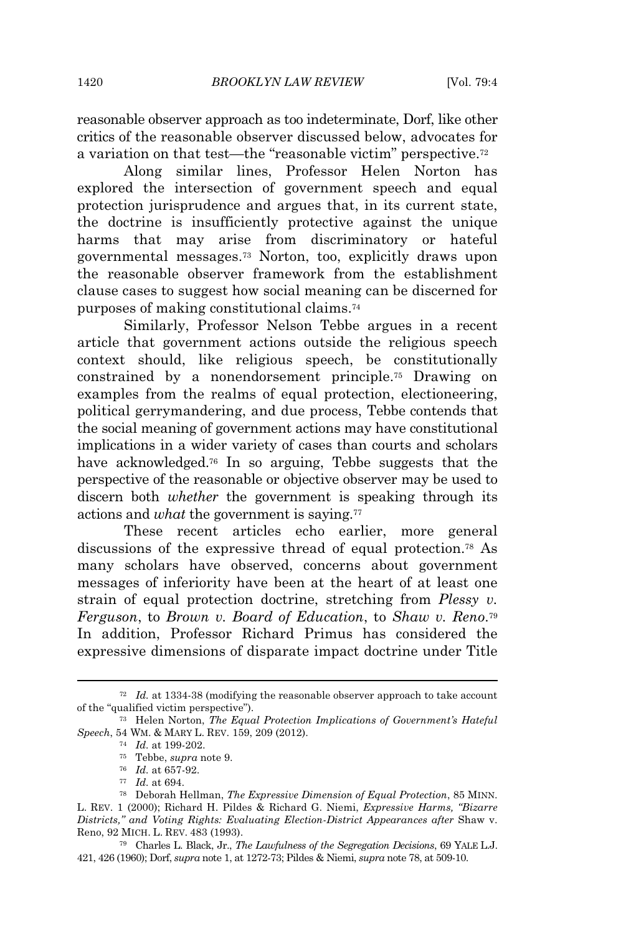reasonable observer approach as too indeterminate, Dorf, like other critics of the reasonable observer discussed below, advocates for a variation on that test—the "reasonable victim" perspective.<sup>72</sup>

Along similar lines, Professor Helen Norton has explored the intersection of government speech and equal protection jurisprudence and argues that, in its current state, the doctrine is insufficiently protective against the unique harms that may arise from discriminatory or hateful governmental messages.<sup>73</sup> Norton, too, explicitly draws upon the reasonable observer framework from the establishment clause cases to suggest how social meaning can be discerned for purposes of making constitutional claims.<sup>74</sup>

Similarly, Professor Nelson Tebbe argues in a recent article that government actions outside the religious speech context should, like religious speech, be constitutionally constrained by a nonendorsement principle.<sup>75</sup> Drawing on examples from the realms of equal protection, electioneering, political gerrymandering, and due process, Tebbe contends that the social meaning of government actions may have constitutional implications in a wider variety of cases than courts and scholars have acknowledged.<sup>76</sup> In so arguing, Tebbe suggests that the perspective of the reasonable or objective observer may be used to discern both *whether* the government is speaking through its actions and *what* the government is saying.<sup>77</sup>

These recent articles echo earlier, more general discussions of the expressive thread of equal protection.<sup>78</sup> As many scholars have observed, concerns about government messages of inferiority have been at the heart of at least one strain of equal protection doctrine, stretching from *Plessy v. Ferguson*, to *Brown v. Board of Education*, to *Shaw v. Reno*. 79 In addition, Professor Richard Primus has considered the expressive dimensions of disparate impact doctrine under Title

<sup>72</sup> *Id.* at 1334-38 (modifying the reasonable observer approach to take account of the "qualified victim perspective").

<sup>73</sup> Helen Norton, *The Equal Protection Implications of Government's Hateful Speech*, 54 WM. & MARY L. REV. 159, 209 (2012).

<sup>74</sup> *Id.* at 199-202.

<sup>75</sup> Tebbe, *supra* note 9.

<sup>76</sup> *Id.* at 657-92.

<sup>77</sup> *Id.* at 694.

<sup>78</sup> Deborah Hellman, *The Expressive Dimension of Equal Protection*, 85 MINN. L. REV. 1 (2000); Richard H. Pildes & Richard G. Niemi, *Expressive Harms, "Bizarre Districts," and Voting Rights: Evaluating Election-District Appearances after* Shaw v. Reno, 92 MICH. L. REV. 483 (1993).

<sup>79</sup> Charles L. Black, Jr., *The Lawfulness of the Segregation Decisions*, 69 YALE L.J. 421, 426 (1960); Dorf, *supra* note 1, at 1272-73; Pildes & Niemi, *supra* note 78, at 509-10.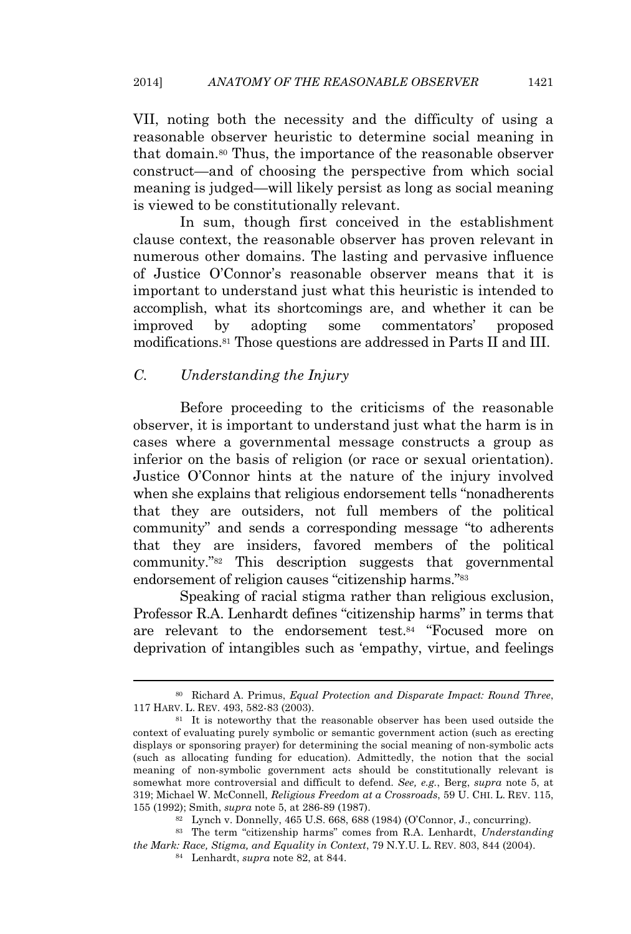VII, noting both the necessity and the difficulty of using a reasonable observer heuristic to determine social meaning in that domain.<sup>80</sup> Thus, the importance of the reasonable observer construct—and of choosing the perspective from which social meaning is judged—will likely persist as long as social meaning is viewed to be constitutionally relevant.

In sum, though first conceived in the establishment clause context, the reasonable observer has proven relevant in numerous other domains. The lasting and pervasive influence of Justice O'Connor's reasonable observer means that it is important to understand just what this heuristic is intended to accomplish, what its shortcomings are, and whether it can be improved by adopting some commentators' proposed modifications.<sup>81</sup> Those questions are addressed in Parts II and III.

## *C. Understanding the Injury*

Before proceeding to the criticisms of the reasonable observer, it is important to understand just what the harm is in cases where a governmental message constructs a group as inferior on the basis of religion (or race or sexual orientation). Justice O'Connor hints at the nature of the injury involved when she explains that religious endorsement tells "nonadherents that they are outsiders, not full members of the political community" and sends a corresponding message "to adherents that they are insiders, favored members of the political community." <sup>82</sup> This description suggests that governmental endorsement of religion causes "citizenship harms."<sup>83</sup>

Speaking of racial stigma rather than religious exclusion, Professor R.A. Lenhardt defines "citizenship harms" in terms that are relevant to the endorsement test.<sup>84</sup> "Focused more on deprivation of intangibles such as 'empathy, virtue, and feelings

<sup>80</sup> Richard A. Primus, *Equal Protection and Disparate Impact: Round Three*, 117 HARV. L. REV. 493, 582-83 (2003).

<sup>&</sup>lt;sup>81</sup> It is noteworthy that the reasonable observer has been used outside the context of evaluating purely symbolic or semantic government action (such as erecting displays or sponsoring prayer) for determining the social meaning of non-symbolic acts (such as allocating funding for education). Admittedly, the notion that the social meaning of non-symbolic government acts should be constitutionally relevant is somewhat more controversial and difficult to defend. *See, e.g.*, Berg, *supra* note 5, at 319; Michael W. McConnell, *Religious Freedom at a Crossroads*, 59 U. CHI. L. REV. 115, 155 (1992); Smith, *supra* note 5, at 286-89 (1987).

<sup>82</sup> Lynch v. Donnelly, 465 U.S. 668, 688 (1984) (O'Connor, J., concurring).

<sup>83</sup> The term "citizenship harms" comes from R.A. Lenhardt, *Understanding the Mark: Race, Stigma, and Equality in Context*, 79 N.Y.U. L. REV. 803, 844 (2004).

<sup>84</sup> Lenhardt, *supra* note 82, at 844.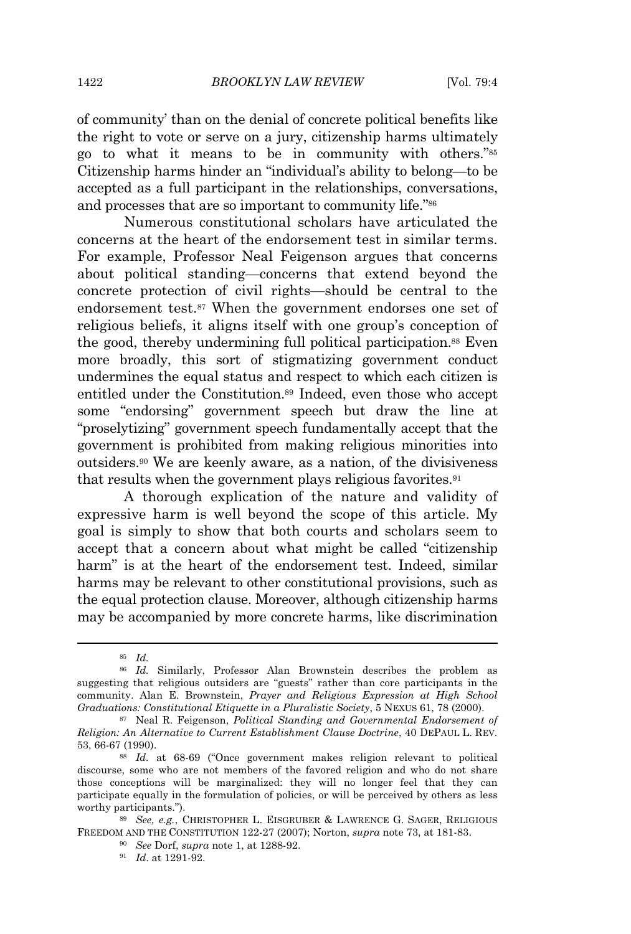of community' than on the denial of concrete political benefits like the right to vote or serve on a jury, citizenship harms ultimately go to what it means to be in community with others." 85 Citizenship harms hinder an "individual's ability to belong—to be accepted as a full participant in the relationships, conversations, and processes that are so important to community life."<sup>86</sup>

Numerous constitutional scholars have articulated the concerns at the heart of the endorsement test in similar terms. For example, Professor Neal Feigenson argues that concerns about political standing—concerns that extend beyond the concrete protection of civil rights—should be central to the endorsement test.<sup>87</sup> When the government endorses one set of religious beliefs, it aligns itself with one group's conception of the good, thereby undermining full political participation.<sup>88</sup> Even more broadly, this sort of stigmatizing government conduct undermines the equal status and respect to which each citizen is entitled under the Constitution.<sup>89</sup> Indeed, even those who accept some "endorsing" government speech but draw the line at "proselytizing" government speech fundamentally accept that the government is prohibited from making religious minorities into outsiders.<sup>90</sup> We are keenly aware, as a nation, of the divisiveness that results when the government plays religious favorites.<sup>91</sup>

A thorough explication of the nature and validity of expressive harm is well beyond the scope of this article. My goal is simply to show that both courts and scholars seem to accept that a concern about what might be called "citizenship harm" is at the heart of the endorsement test. Indeed, similar harms may be relevant to other constitutional provisions, such as the equal protection clause. Moreover, although citizenship harms may be accompanied by more concrete harms, like discrimination

<sup>85</sup> *Id.*

<sup>86</sup> *Id.* Similarly, Professor Alan Brownstein describes the problem as suggesting that religious outsiders are "guests" rather than core participants in the community. Alan E. Brownstein, *Prayer and Religious Expression at High School Graduations: Constitutional Etiquette in a Pluralistic Society*, 5 NEXUS 61, 78 (2000).

<sup>87</sup> Neal R. Feigenson, *Political Standing and Governmental Endorsement of Religion: An Alternative to Current Establishment Clause Doctrine*, 40 DEPAUL L. REV. 53, 66-67 (1990).

<sup>88</sup> *Id.* at 68-69 ("Once government makes religion relevant to political discourse, some who are not members of the favored religion and who do not share those conceptions will be marginalized: they will no longer feel that they can participate equally in the formulation of policies, or will be perceived by others as less worthy participants.").

<sup>89</sup> *See, e.g.*, CHRISTOPHER L. EISGRUBER & LAWRENCE G. SAGER, RELIGIOUS FREEDOM AND THE CONSTITUTION 122-27 (2007); Norton, *supra* note 73, at 181-83.

<sup>90</sup> *See* Dorf, *supra* note 1, at 1288-92.

<sup>91</sup> *Id*. at 1291-92.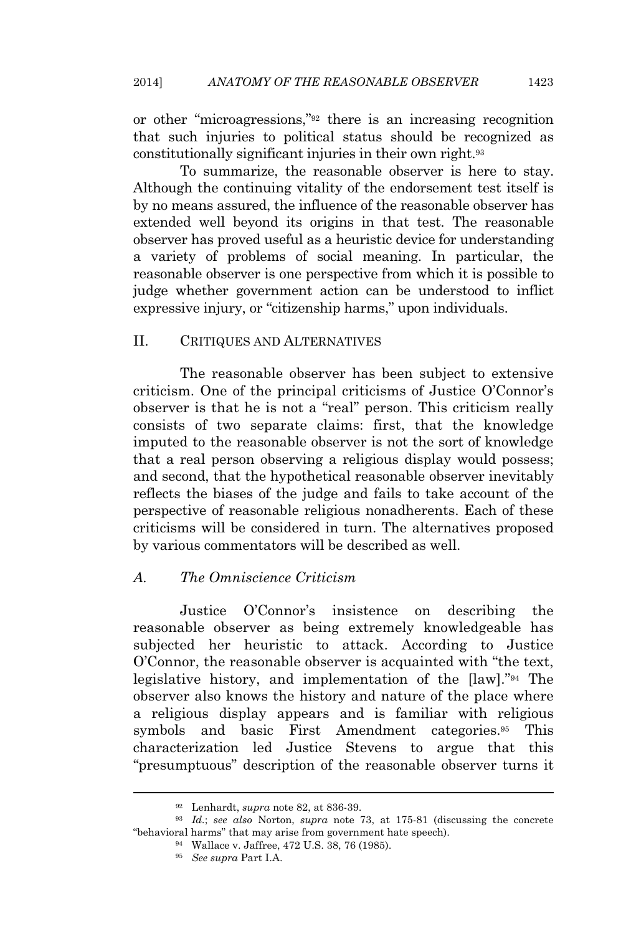or other "microagressions," <sup>92</sup> there is an increasing recognition that such injuries to political status should be recognized as constitutionally significant injuries in their own right.<sup>93</sup>

To summarize, the reasonable observer is here to stay. Although the continuing vitality of the endorsement test itself is by no means assured, the influence of the reasonable observer has extended well beyond its origins in that test. The reasonable observer has proved useful as a heuristic device for understanding a variety of problems of social meaning. In particular, the reasonable observer is one perspective from which it is possible to judge whether government action can be understood to inflict expressive injury, or "citizenship harms," upon individuals.

#### II. CRITIQUES AND ALTERNATIVES

The reasonable observer has been subject to extensive criticism. One of the principal criticisms of Justice O'Connor's observer is that he is not a "real" person. This criticism really consists of two separate claims: first, that the knowledge imputed to the reasonable observer is not the sort of knowledge that a real person observing a religious display would possess; and second, that the hypothetical reasonable observer inevitably reflects the biases of the judge and fails to take account of the perspective of reasonable religious nonadherents. Each of these criticisms will be considered in turn. The alternatives proposed by various commentators will be described as well.

# *A. The Omniscience Criticism*

Justice O'Connor's insistence on describing the reasonable observer as being extremely knowledgeable has subjected her heuristic to attack. According to Justice O'Connor, the reasonable observer is acquainted with "the text, legislative history, and implementation of the [law]."<sup>94</sup> The observer also knows the history and nature of the place where a religious display appears and is familiar with religious symbols and basic First Amendment categories.<sup>95</sup> This characterization led Justice Stevens to argue that this "presumptuous" description of the reasonable observer turns it

<sup>92</sup> Lenhardt, *supra* note 82, at 836-39.

<sup>93</sup> *Id.*; *see also* Norton, *supra* note 73, at 175-81 (discussing the concrete "behavioral harms" that may arise from government hate speech).

<sup>94</sup> Wallace v. Jaffree, 472 U.S. 38, 76 (1985).

<sup>95</sup> *See supra* Part I.A.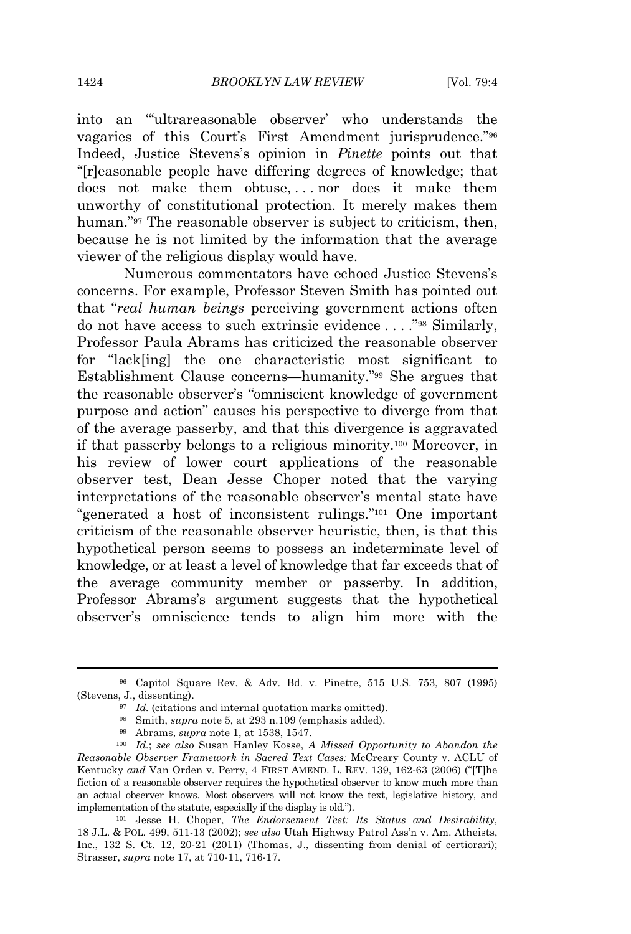into an "'ultrareasonable observer' who understands the vagaries of this Court's First Amendment jurisprudence."<sup>96</sup> Indeed, Justice Stevens's opinion in *Pinette* points out that "[r]easonable people have differing degrees of knowledge; that does not make them obtuse, . . . nor does it make them unworthy of constitutional protection. It merely makes them human."<sup>97</sup> The reasonable observer is subject to criticism, then, because he is not limited by the information that the average viewer of the religious display would have.

Numerous commentators have echoed Justice Stevens's concerns. For example, Professor Steven Smith has pointed out that "*real human beings* perceiving government actions often do not have access to such extrinsic evidence . . . ." <sup>98</sup> Similarly, Professor Paula Abrams has criticized the reasonable observer for "lack[ing] the one characteristic most significant to Establishment Clause concerns—humanity." <sup>99</sup> She argues that the reasonable observer's "omniscient knowledge of government purpose and action" causes his perspective to diverge from that of the average passerby, and that this divergence is aggravated if that passerby belongs to a religious minority.<sup>100</sup> Moreover, in his review of lower court applications of the reasonable observer test, Dean Jesse Choper noted that the varying interpretations of the reasonable observer's mental state have "generated a host of inconsistent rulings."<sup>101</sup> One important criticism of the reasonable observer heuristic, then, is that this hypothetical person seems to possess an indeterminate level of knowledge, or at least a level of knowledge that far exceeds that of the average community member or passerby. In addition, Professor Abrams's argument suggests that the hypothetical observer's omniscience tends to align him more with the

<sup>96</sup> Capitol Square Rev. & Adv. Bd. v. Pinette, 515 U.S. 753, 807 (1995) (Stevens, J., dissenting).

<sup>&</sup>lt;sup>97</sup> *Id.* (citations and internal quotation marks omitted).

<sup>98</sup> Smith, *supra* note 5, at 293 n.109 (emphasis added).

<sup>99</sup> Abrams, *supra* note 1, at 1538, 1547.

<sup>100</sup> *Id.*; *see also* Susan Hanley Kosse, *A Missed Opportunity to Abandon the Reasonable Observer Framework in Sacred Text Cases:* McCreary County v. ACLU of Kentucky *and* Van Orden v. Perry, 4 FIRST AMEND. L. REV. 139, 162-63 (2006) ("[T]he fiction of a reasonable observer requires the hypothetical observer to know much more than an actual observer knows. Most observers will not know the text, legislative history, and implementation of the statute, especially if the display is old.").

<sup>101</sup> Jesse H. Choper, *The Endorsement Test: Its Status and Desirability*, 18 J.L. & POL. 499, 511-13 (2002); *see also* Utah Highway Patrol Ass'n v. Am. Atheists, Inc., 132 S. Ct. 12, 20-21 (2011) (Thomas, J., dissenting from denial of certiorari); Strasser, *supra* note 17, at 710-11, 716-17.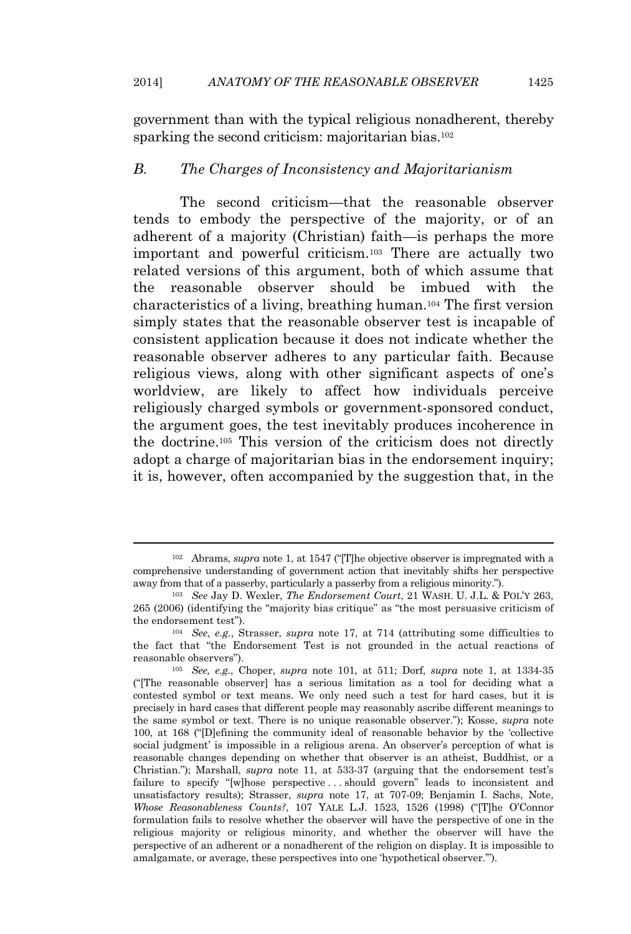government than with the typical religious nonadherent, thereby sparking the second criticism: majoritarian bias.<sup>102</sup>

### *B. The Charges of Inconsistency and Majoritarianism*

The second criticism—that the reasonable observer tends to embody the perspective of the majority, or of an adherent of a majority (Christian) faith—is perhaps the more important and powerful criticism.<sup>103</sup> There are actually two related versions of this argument, both of which assume that the reasonable observer should be imbued with the characteristics of a living, breathing human.<sup>104</sup> The first version simply states that the reasonable observer test is incapable of consistent application because it does not indicate whether the reasonable observer adheres to any particular faith. Because religious views, along with other significant aspects of one's worldview, are likely to affect how individuals perceive religiously charged symbols or government-sponsored conduct, the argument goes, the test inevitably produces incoherence in the doctrine.<sup>105</sup> This version of the criticism does not directly adopt a charge of majoritarian bias in the endorsement inquiry; it is, however, often accompanied by the suggestion that, in the

<sup>102</sup> Abrams, *supra* note 1, at 1547 ("[T]he objective observer is impregnated with a comprehensive understanding of government action that inevitably shifts her perspective away from that of a passerby, particularly a passerby from a religious minority.").

<sup>103</sup> *See* Jay D. Wexler, *The Endorsement Court*, 21 WASH. U. J.L. & POL'<sup>Y</sup> 263, 265 (2006) (identifying the "majority bias critique" as "the most persuasive criticism of the endorsement test").

<sup>104</sup> *See, e.g.*, Strasser, *supra* note 17, at 714 (attributing some difficulties to the fact that "the Endorsement Test is not grounded in the actual reactions of reasonable observers").

<sup>105</sup> *See, e.g.*, Choper, *supra* note 101, at 511; Dorf, *supra* note 1, at 1334-35 ("[The reasonable observer] has a serious limitation as a tool for deciding what a contested symbol or text means. We only need such a test for hard cases, but it is precisely in hard cases that different people may reasonably ascribe different meanings to the same symbol or text. There is no unique reasonable observer."); Kosse, *supra* note 100, at 168 ("[D]efining the community ideal of reasonable behavior by the 'collective social judgment' is impossible in a religious arena. An observer's perception of what is reasonable changes depending on whether that observer is an atheist, Buddhist, or a Christian."); Marshall, *supra* note 11, at 533-37 (arguing that the endorsement test's failure to specify "[w]hose perspective . . . should govern" leads to inconsistent and unsatisfactory results); Strasser, *supra* note 17, at 707-09; Benjamin I. Sachs, Note, *Whose Reasonableness Counts?*, 107 YALE L.J. 1523, 1526 (1998) ("[T]he O'Connor formulation fails to resolve whether the observer will have the perspective of one in the religious majority or religious minority, and whether the observer will have the perspective of an adherent or a nonadherent of the religion on display. It is impossible to amalgamate, or average, these perspectives into one 'hypothetical observer.'").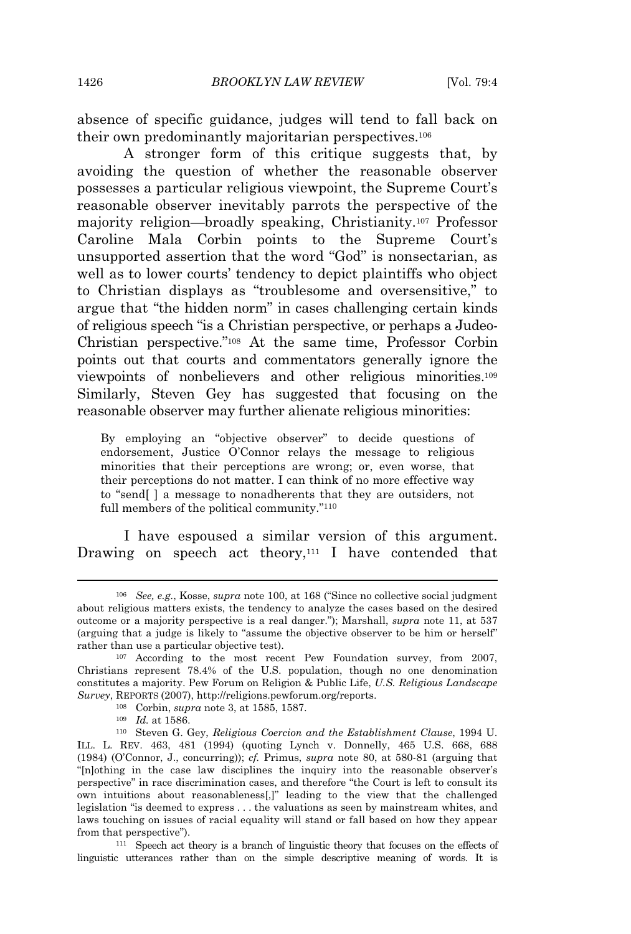absence of specific guidance, judges will tend to fall back on their own predominantly majoritarian perspectives.<sup>106</sup>

A stronger form of this critique suggests that, by avoiding the question of whether the reasonable observer possesses a particular religious viewpoint, the Supreme Court's reasonable observer inevitably parrots the perspective of the majority religion—broadly speaking, Christianity.<sup>107</sup> Professor Caroline Mala Corbin points to the Supreme Court's unsupported assertion that the word "God" is nonsectarian, as well as to lower courts' tendency to depict plaintiffs who object to Christian displays as "troublesome and oversensitive," to argue that "the hidden norm" in cases challenging certain kinds of religious speech "is a Christian perspective, or perhaps a Judeo-Christian perspective." <sup>108</sup> At the same time, Professor Corbin points out that courts and commentators generally ignore the viewpoints of nonbelievers and other religious minorities.<sup>109</sup> Similarly, Steven Gey has suggested that focusing on the reasonable observer may further alienate religious minorities:

By employing an "objective observer" to decide questions of endorsement, Justice O'Connor relays the message to religious minorities that their perceptions are wrong; or, even worse, that their perceptions do not matter. I can think of no more effective way to "send[ ] a message to nonadherents that they are outsiders, not full members of the political community."<sup>110</sup>

I have espoused a similar version of this argument. Drawing on speech act theory,<sup>111</sup> I have contended that

<sup>106</sup> *See, e.g.*, Kosse, *supra* note 100, at 168 ("Since no collective social judgment about religious matters exists, the tendency to analyze the cases based on the desired outcome or a majority perspective is a real danger."); Marshall, *supra* note 11, at 537 (arguing that a judge is likely to "assume the objective observer to be him or herself" rather than use a particular objective test).

<sup>107</sup> According to the most recent Pew Foundation survey, from 2007, Christians represent 78.4% of the U.S. population, though no one denomination constitutes a majority. Pew Forum on Religion & Public Life, *U.S. Religious Landscape Survey*, REPORTS (2007), http://religions.pewforum.org/reports.

<sup>108</sup> Corbin, *supra* note 3, at 1585, 1587.

<sup>109</sup> *Id.* at 1586.

<sup>110</sup> Steven G. Gey, *Religious Coercion and the Establishment Clause*, 1994 U. ILL. L. REV. 463, 481 (1994) (quoting Lynch v. Donnelly, 465 U.S. 668, 688 (1984) (O'Connor, J., concurring)); *cf.* Primus, *supra* note 80, at 580-81 (arguing that "[n]othing in the case law disciplines the inquiry into the reasonable observer's perspective" in race discrimination cases, and therefore "the Court is left to consult its own intuitions about reasonableness[,]" leading to the view that the challenged legislation "is deemed to express . . . the valuations as seen by mainstream whites, and laws touching on issues of racial equality will stand or fall based on how they appear from that perspective").

<sup>111</sup> Speech act theory is a branch of linguistic theory that focuses on the effects of linguistic utterances rather than on the simple descriptive meaning of words. It is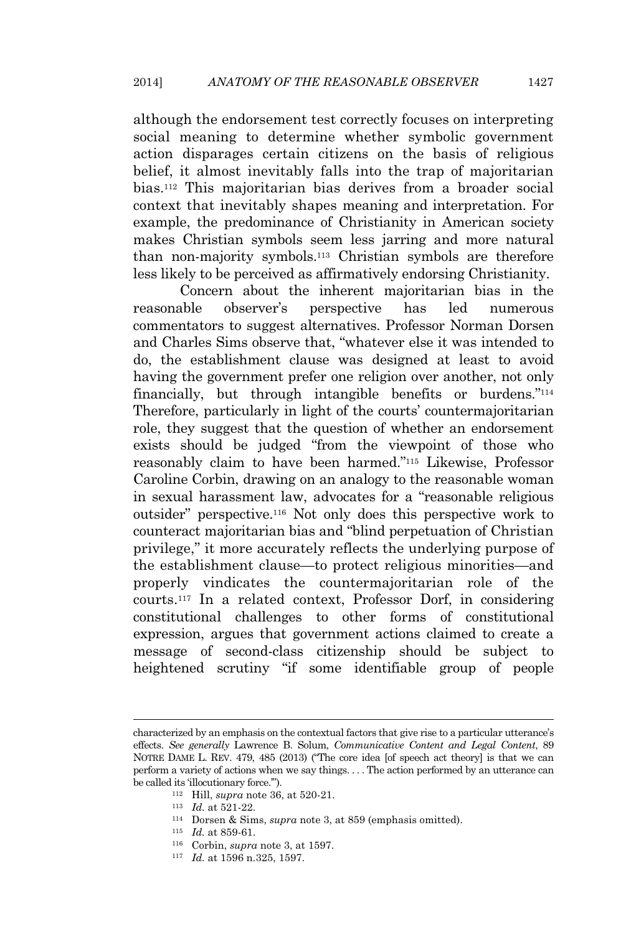although the endorsement test correctly focuses on interpreting social meaning to determine whether symbolic government action disparages certain citizens on the basis of religious belief, it almost inevitably falls into the trap of majoritarian bias.<sup>112</sup> This majoritarian bias derives from a broader social context that inevitably shapes meaning and interpretation. For example, the predominance of Christianity in American society makes Christian symbols seem less jarring and more natural than non-majority symbols.<sup>113</sup> Christian symbols are therefore less likely to be perceived as affirmatively endorsing Christianity.

Concern about the inherent majoritarian bias in the reasonable observer's perspective has led numerous commentators to suggest alternatives. Professor Norman Dorsen and Charles Sims observe that, "whatever else it was intended to do, the establishment clause was designed at least to avoid having the government prefer one religion over another, not only financially, but through intangible benefits or burdens."<sup>114</sup> Therefore, particularly in light of the courts' countermajoritarian role, they suggest that the question of whether an endorsement exists should be judged "from the viewpoint of those who reasonably claim to have been harmed." <sup>115</sup> Likewise, Professor Caroline Corbin, drawing on an analogy to the reasonable woman in sexual harassment law, advocates for a "reasonable religious outsider" perspective.<sup>116</sup> Not only does this perspective work to counteract majoritarian bias and "blind perpetuation of Christian privilege," it more accurately reflects the underlying purpose of the establishment clause—to protect religious minorities—and properly vindicates the countermajoritarian role of the courts.<sup>117</sup> In a related context, Professor Dorf, in considering constitutional challenges to other forms of constitutional expression, argues that government actions claimed to create a message of second-class citizenship should be subject to heightened scrutiny "if some identifiable group of people

characterized by an emphasis on the contextual factors that give rise to a particular utterance's effects. *See generally* Lawrence B. Solum, *Communicative Content and Legal Content*, 89 NOTRE DAME L. REV. 479, 485 (2013) ("The core idea [of speech act theory] is that we can perform a variety of actions when we say things. . . . The action performed by an utterance can be called its 'illocutionary force.'").

<sup>112</sup> Hill, *supra* note 36, at 520-21.

<sup>113</sup> *Id.* at 521-22.

<sup>114</sup> Dorsen & Sims, *supra* note 3, at 859 (emphasis omitted).

<sup>115</sup> *Id.* at 859-61.

<sup>116</sup> Corbin, *supra* note 3, at 1597.

<sup>117</sup> *Id.* at 1596 n.325, 1597.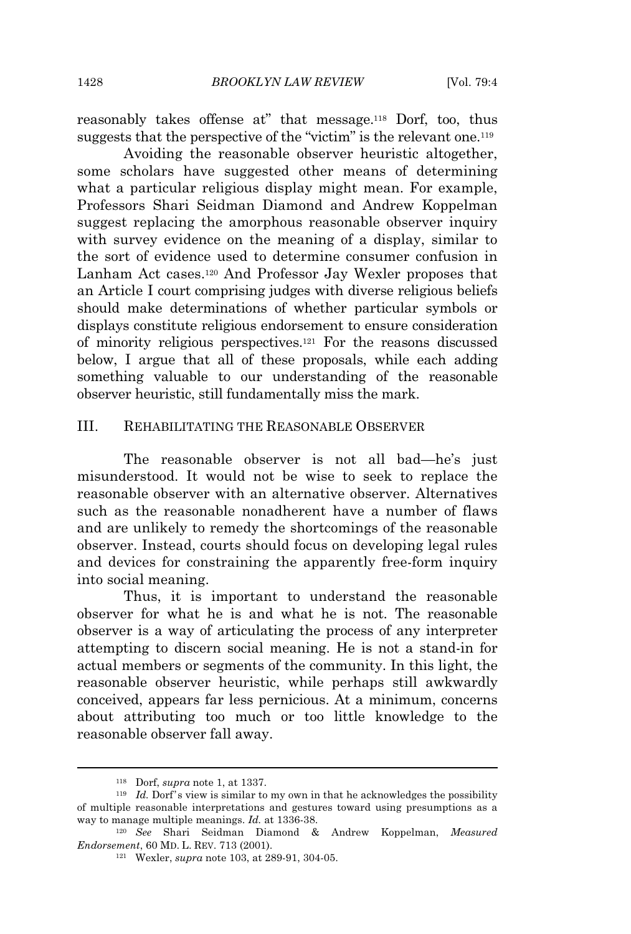reasonably takes offense at" that message.<sup>118</sup> Dorf, too, thus suggests that the perspective of the "victim" is the relevant one.<sup>119</sup>

Avoiding the reasonable observer heuristic altogether, some scholars have suggested other means of determining what a particular religious display might mean. For example, Professors Shari Seidman Diamond and Andrew Koppelman suggest replacing the amorphous reasonable observer inquiry with survey evidence on the meaning of a display, similar to the sort of evidence used to determine consumer confusion in Lanham Act cases.<sup>120</sup> And Professor Jay Wexler proposes that an Article I court comprising judges with diverse religious beliefs should make determinations of whether particular symbols or displays constitute religious endorsement to ensure consideration of minority religious perspectives.<sup>121</sup> For the reasons discussed below, I argue that all of these proposals, while each adding something valuable to our understanding of the reasonable observer heuristic, still fundamentally miss the mark.

#### III. REHABILITATING THE REASONABLE OBSERVER

The reasonable observer is not all bad—he's just misunderstood. It would not be wise to seek to replace the reasonable observer with an alternative observer. Alternatives such as the reasonable nonadherent have a number of flaws and are unlikely to remedy the shortcomings of the reasonable observer. Instead, courts should focus on developing legal rules and devices for constraining the apparently free-form inquiry into social meaning.

Thus, it is important to understand the reasonable observer for what he is and what he is not. The reasonable observer is a way of articulating the process of any interpreter attempting to discern social meaning. He is not a stand-in for actual members or segments of the community. In this light, the reasonable observer heuristic, while perhaps still awkwardly conceived, appears far less pernicious. At a minimum, concerns about attributing too much or too little knowledge to the reasonable observer fall away.

<sup>118</sup> Dorf, *supra* note 1, at 1337.

<sup>119</sup> *Id.* Dorf's view is similar to my own in that he acknowledges the possibility of multiple reasonable interpretations and gestures toward using presumptions as a way to manage multiple meanings. *Id.* at 1336-38.

<sup>120</sup> *See* Shari Seidman Diamond & Andrew Koppelman, *Measured Endorsement*, 60 MD. L. REV. 713 (2001).

<sup>121</sup> Wexler, *supra* note 103, at 289-91, 304-05.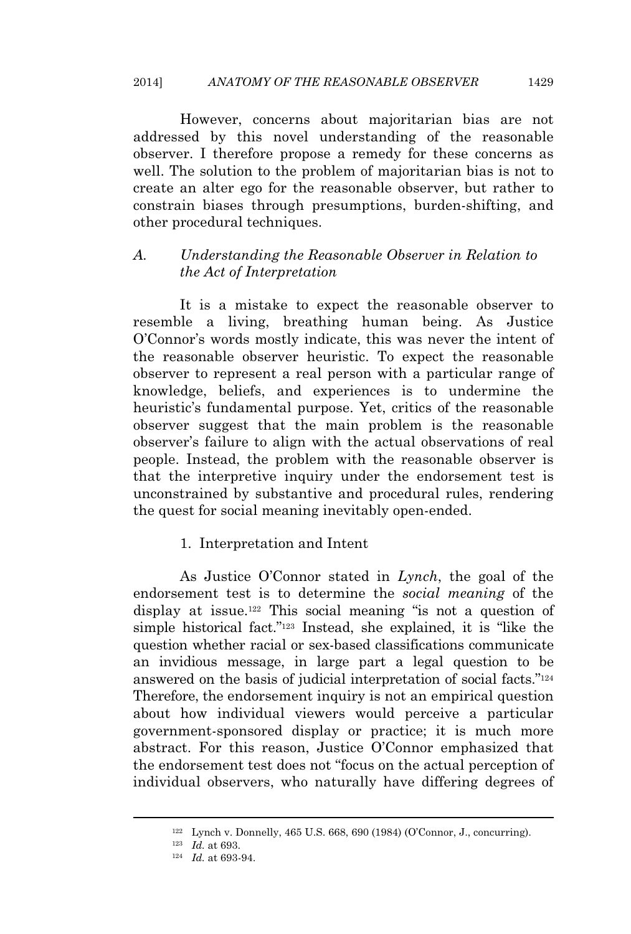However, concerns about majoritarian bias are not addressed by this novel understanding of the reasonable observer. I therefore propose a remedy for these concerns as well. The solution to the problem of majoritarian bias is not to create an alter ego for the reasonable observer, but rather to constrain biases through presumptions, burden-shifting, and other procedural techniques.

# *A. Understanding the Reasonable Observer in Relation to the Act of Interpretation*

It is a mistake to expect the reasonable observer to resemble a living, breathing human being. As Justice O'Connor's words mostly indicate, this was never the intent of the reasonable observer heuristic. To expect the reasonable observer to represent a real person with a particular range of knowledge, beliefs, and experiences is to undermine the heuristic's fundamental purpose. Yet, critics of the reasonable observer suggest that the main problem is the reasonable observer's failure to align with the actual observations of real people. Instead, the problem with the reasonable observer is that the interpretive inquiry under the endorsement test is unconstrained by substantive and procedural rules, rendering the quest for social meaning inevitably open-ended.

### 1. Interpretation and Intent

As Justice O'Connor stated in *Lynch*, the goal of the endorsement test is to determine the *social meaning* of the display at issue.<sup>122</sup> This social meaning "is not a question of simple historical fact." <sup>123</sup> Instead, she explained, it is "like the question whether racial or sex-based classifications communicate an invidious message, in large part a legal question to be answered on the basis of judicial interpretation of social facts."<sup>124</sup> Therefore, the endorsement inquiry is not an empirical question about how individual viewers would perceive a particular government-sponsored display or practice; it is much more abstract. For this reason, Justice O'Connor emphasized that the endorsement test does not "focus on the actual perception of individual observers, who naturally have differing degrees of

 $122$  Lynch v. Donnelly, 465 U.S. 668, 690 (1984) (O'Connor, J., concurring).

<sup>123</sup> *Id.* at 693.

<sup>124</sup> *Id.* at 693-94.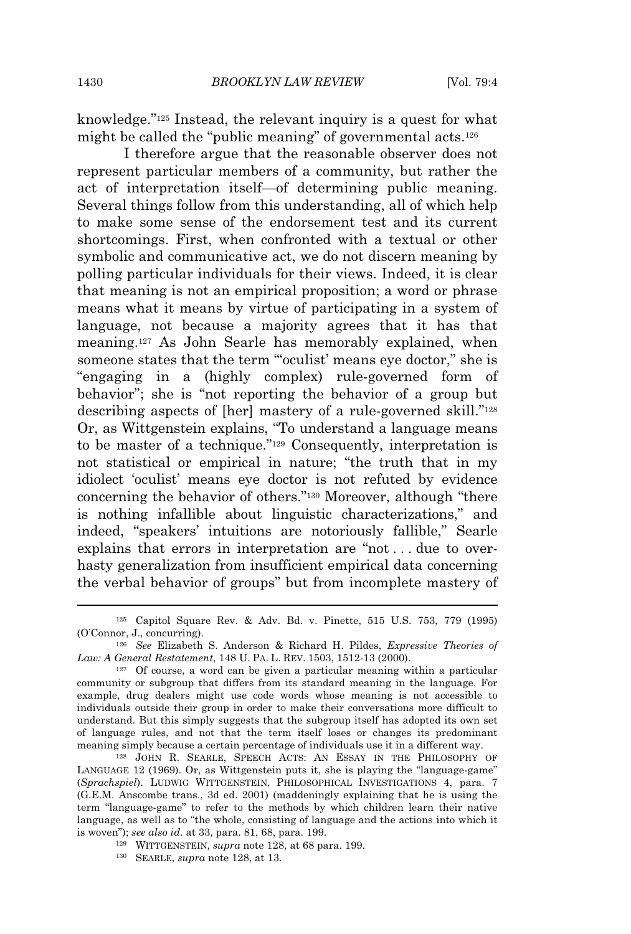knowledge." <sup>125</sup> Instead, the relevant inquiry is a quest for what might be called the "public meaning" of governmental acts.<sup>126</sup>

I therefore argue that the reasonable observer does not represent particular members of a community, but rather the act of interpretation itself—of determining public meaning. Several things follow from this understanding, all of which help to make some sense of the endorsement test and its current shortcomings. First, when confronted with a textual or other symbolic and communicative act, we do not discern meaning by polling particular individuals for their views. Indeed, it is clear that meaning is not an empirical proposition; a word or phrase means what it means by virtue of participating in a system of language, not because a majority agrees that it has that meaning.<sup>127</sup> As John Searle has memorably explained, when someone states that the term "'oculist' means eye doctor," she is "engaging in a (highly complex) rule-governed form of behavior"; she is "not reporting the behavior of a group but describing aspects of [her] mastery of a rule-governed skill." 128 Or, as Wittgenstein explains, "To understand a language means to be master of a technique." <sup>129</sup> Consequently, interpretation is not statistical or empirical in nature; "the truth that in my idiolect 'oculist' means eye doctor is not refuted by evidence concerning the behavior of others." <sup>130</sup> Moreover, although "there is nothing infallible about linguistic characterizations," and indeed, "speakers' intuitions are notoriously fallible," Searle explains that errors in interpretation are "not . . . due to overhasty generalization from insufficient empirical data concerning the verbal behavior of groups" but from incomplete mastery of

<sup>125</sup> Capitol Square Rev. & Adv. Bd. v. Pinette, 515 U.S. 753, 779 (1995) (O'Connor, J., concurring).

<sup>126</sup> *See* Elizabeth S. Anderson & Richard H. Pildes, *Expressive Theories of Law: A General Restatement*, 148 U. PA. L. REV. 1503, 1512-13 (2000).

<sup>&</sup>lt;sup>127</sup> Of course, a word can be given a particular meaning within a particular community or subgroup that differs from its standard meaning in the language. For example, drug dealers might use code words whose meaning is not accessible to individuals outside their group in order to make their conversations more difficult to understand. But this simply suggests that the subgroup itself has adopted its own set of language rules, and not that the term itself loses or changes its predominant meaning simply because a certain percentage of individuals use it in a different way.

<sup>128</sup> JOHN R. SEARLE, SPEECH ACTS: AN ESSAY IN THE PHILOSOPHY OF LANGUAGE 12 (1969). Or, as Wittgenstein puts it, she is playing the "language-game" (*Sprachspiel*). LUDWIG WITTGENSTEIN, PHILOSOPHICAL INVESTIGATIONS 4, para. 7 (G.E.M. Anscombe trans., 3d ed. 2001) (maddeningly explaining that he is using the term "language-game" to refer to the methods by which children learn their native language, as well as to "the whole, consisting of language and the actions into which it is woven"); *see also id.* at 33, para. 81, 68, para. 199.

<sup>129</sup> WITTGENSTEIN, *supra* note 128, at 68 para. 199.

<sup>130</sup> SEARLE, *supra* note 128, at 13.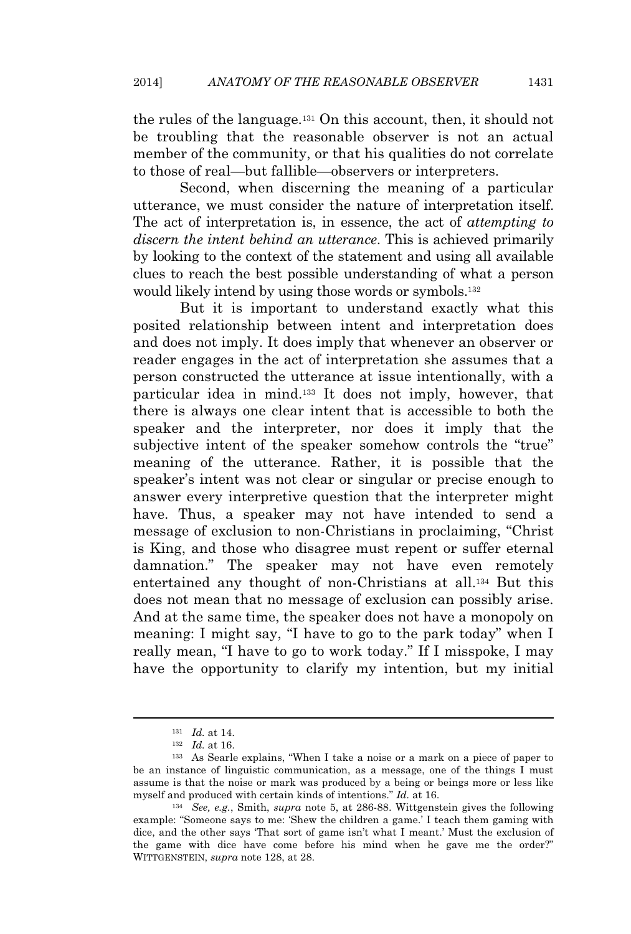the rules of the language.<sup>131</sup> On this account, then, it should not be troubling that the reasonable observer is not an actual member of the community, or that his qualities do not correlate to those of real—but fallible—observers or interpreters.

Second, when discerning the meaning of a particular utterance, we must consider the nature of interpretation itself. The act of interpretation is, in essence, the act of *attempting to discern the intent behind an utterance*. This is achieved primarily by looking to the context of the statement and using all available clues to reach the best possible understanding of what a person would likely intend by using those words or symbols.<sup>132</sup>

But it is important to understand exactly what this posited relationship between intent and interpretation does and does not imply. It does imply that whenever an observer or reader engages in the act of interpretation she assumes that a person constructed the utterance at issue intentionally, with a particular idea in mind.<sup>133</sup> It does not imply, however, that there is always one clear intent that is accessible to both the speaker and the interpreter, nor does it imply that the subjective intent of the speaker somehow controls the "true" meaning of the utterance. Rather, it is possible that the speaker's intent was not clear or singular or precise enough to answer every interpretive question that the interpreter might have. Thus, a speaker may not have intended to send a message of exclusion to non-Christians in proclaiming, "Christ is King, and those who disagree must repent or suffer eternal damnation." The speaker may not have even remotely entertained any thought of non-Christians at all.<sup>134</sup> But this does not mean that no message of exclusion can possibly arise. And at the same time, the speaker does not have a monopoly on meaning: I might say, "I have to go to the park today" when I really mean, "I have to go to work today." If I misspoke, I may have the opportunity to clarify my intention, but my initial

<sup>131</sup> *Id.* at 14.

<sup>132</sup> *Id.* at 16.

<sup>133</sup> As Searle explains, "When I take a noise or a mark on a piece of paper to be an instance of linguistic communication, as a message, one of the things I must assume is that the noise or mark was produced by a being or beings more or less like myself and produced with certain kinds of intentions." *Id.* at 16.

<sup>134</sup> *See, e.g.*, Smith, *supra* note 5, at 286-88. Wittgenstein gives the following example: "Someone says to me: 'Shew the children a game.' I teach them gaming with dice, and the other says 'That sort of game isn't what I meant.' Must the exclusion of the game with dice have come before his mind when he gave me the order?" WITTGENSTEIN, *supra* note 128, at 28.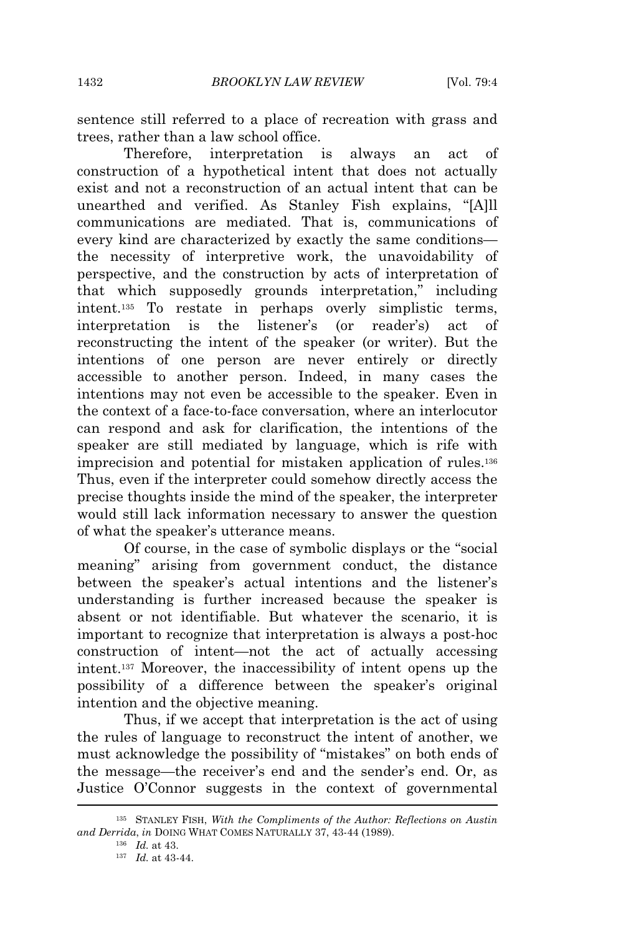sentence still referred to a place of recreation with grass and trees, rather than a law school office.

Therefore, interpretation is always an act of construction of a hypothetical intent that does not actually exist and not a reconstruction of an actual intent that can be unearthed and verified. As Stanley Fish explains, "[A]ll communications are mediated. That is, communications of every kind are characterized by exactly the same conditions the necessity of interpretive work, the unavoidability of perspective, and the construction by acts of interpretation of that which supposedly grounds interpretation," including intent.<sup>135</sup> To restate in perhaps overly simplistic terms, interpretation is the listener's (or reader's) act of reconstructing the intent of the speaker (or writer). But the intentions of one person are never entirely or directly accessible to another person. Indeed, in many cases the intentions may not even be accessible to the speaker. Even in the context of a face-to-face conversation, where an interlocutor can respond and ask for clarification, the intentions of the speaker are still mediated by language, which is rife with imprecision and potential for mistaken application of rules.<sup>136</sup> Thus, even if the interpreter could somehow directly access the precise thoughts inside the mind of the speaker, the interpreter would still lack information necessary to answer the question of what the speaker's utterance means.

Of course, in the case of symbolic displays or the "social meaning" arising from government conduct, the distance between the speaker's actual intentions and the listener's understanding is further increased because the speaker is absent or not identifiable. But whatever the scenario, it is important to recognize that interpretation is always a post-hoc construction of intent—not the act of actually accessing intent.<sup>137</sup> Moreover, the inaccessibility of intent opens up the possibility of a difference between the speaker's original intention and the objective meaning.

Thus, if we accept that interpretation is the act of using the rules of language to reconstruct the intent of another, we must acknowledge the possibility of "mistakes" on both ends of the message—the receiver's end and the sender's end. Or, as Justice O'Connor suggests in the context of governmental

<sup>135</sup> STANLEY FISH, *With the Compliments of the Author: Reflections on Austin and Derrida*, *in* DOING WHAT COMES NATURALLY 37, 43-44 (1989).

<sup>136</sup> *Id.* at 43.

<sup>137</sup> *Id.* at 43-44.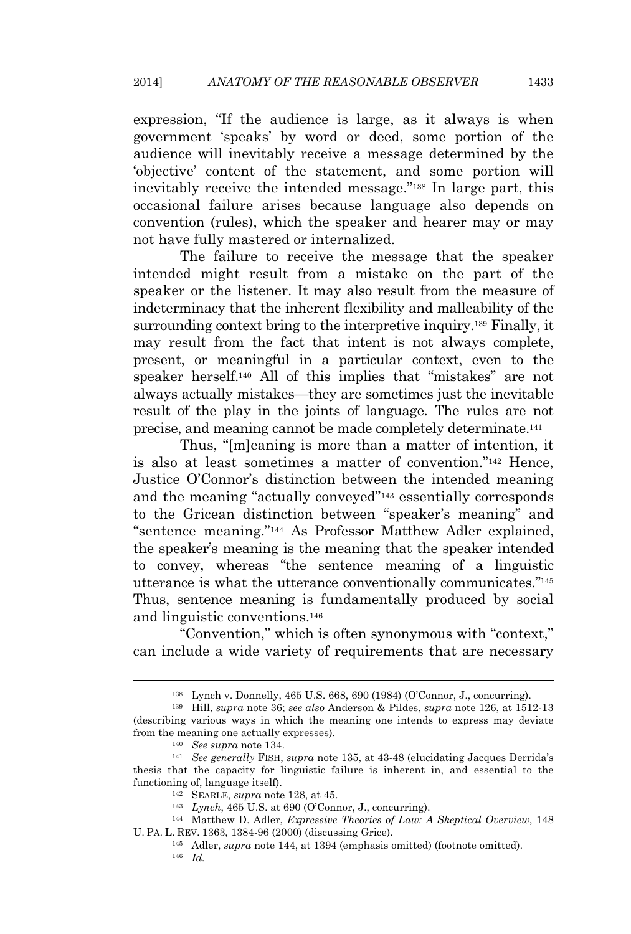expression, "If the audience is large, as it always is when government 'speaks' by word or deed, some portion of the audience will inevitably receive a message determined by the 'objective' content of the statement, and some portion will inevitably receive the intended message." <sup>138</sup> In large part, this occasional failure arises because language also depends on convention (rules), which the speaker and hearer may or may not have fully mastered or internalized.

The failure to receive the message that the speaker intended might result from a mistake on the part of the speaker or the listener. It may also result from the measure of indeterminacy that the inherent flexibility and malleability of the surrounding context bring to the interpretive inquiry.<sup>139</sup> Finally, it may result from the fact that intent is not always complete, present, or meaningful in a particular context, even to the speaker herself.<sup>140</sup> All of this implies that "mistakes" are not always actually mistakes—they are sometimes just the inevitable result of the play in the joints of language. The rules are not precise, and meaning cannot be made completely determinate.<sup>141</sup>

Thus, "[m]eaning is more than a matter of intention, it is also at least sometimes a matter of convention."<sup>142</sup> Hence, Justice O'Connor's distinction between the intended meaning and the meaning "actually conveyed" <sup>143</sup> essentially corresponds to the Gricean distinction between "speaker's meaning" and "sentence meaning." <sup>144</sup> As Professor Matthew Adler explained, the speaker's meaning is the meaning that the speaker intended to convey, whereas "the sentence meaning of a linguistic utterance is what the utterance conventionally communicates." 145 Thus, sentence meaning is fundamentally produced by social and linguistic conventions.<sup>146</sup>

"Convention," which is often synonymous with "context," can include a wide variety of requirements that are necessary

<sup>138</sup> Lynch v. Donnelly, 465 U.S. 668, 690 (1984) (O'Connor, J., concurring).

<sup>139</sup> Hill, *supra* note 36; *see also* Anderson & Pildes, *supra* note 126, at 1512-13 (describing various ways in which the meaning one intends to express may deviate from the meaning one actually expresses).

<sup>140</sup> *See supra* note 134.

<sup>141</sup> *See generally* FISH, *supra* note 135, at 43-48 (elucidating Jacques Derrida's thesis that the capacity for linguistic failure is inherent in, and essential to the functioning of, language itself).

<sup>142</sup> SEARLE, *supra* note 128, at 45.

<sup>143</sup> *Lynch*, 465 U.S. at 690 (O'Connor, J., concurring).

<sup>144</sup> Matthew D. Adler, *Expressive Theories of Law: A Skeptical Overview*, 148 U. PA. L. REV. 1363, 1384-96 (2000) (discussing Grice).

<sup>145</sup> Adler, *supra* note 144, at 1394 (emphasis omitted) (footnote omitted).

<sup>146</sup> *Id.*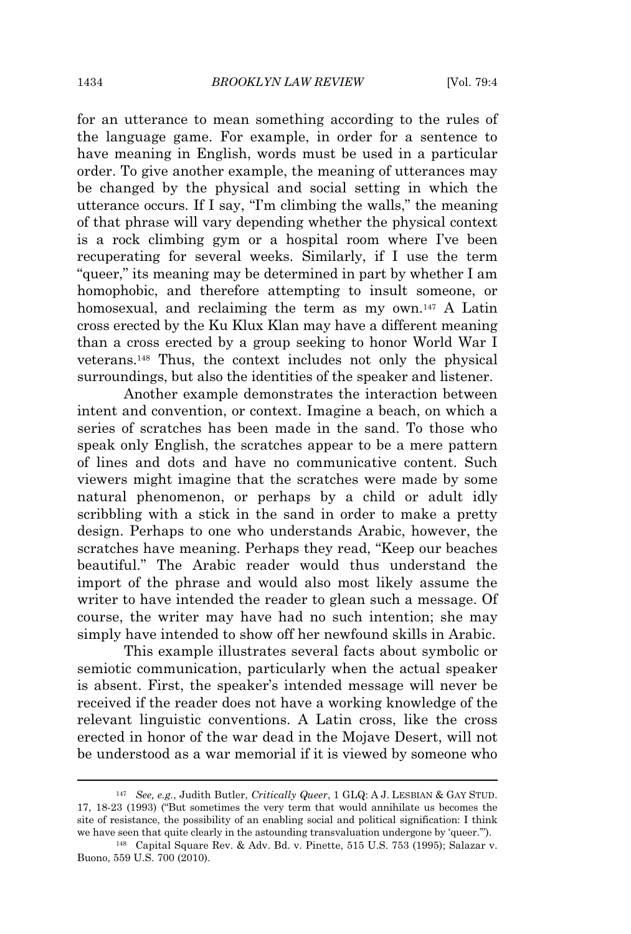for an utterance to mean something according to the rules of the language game. For example, in order for a sentence to have meaning in English, words must be used in a particular order. To give another example, the meaning of utterances may be changed by the physical and social setting in which the utterance occurs. If I say, "I'm climbing the walls," the meaning of that phrase will vary depending whether the physical context is a rock climbing gym or a hospital room where I've been recuperating for several weeks. Similarly, if I use the term "queer," its meaning may be determined in part by whether I am homophobic, and therefore attempting to insult someone, or homosexual, and reclaiming the term as my own.<sup>147</sup> A Latin cross erected by the Ku Klux Klan may have a different meaning than a cross erected by a group seeking to honor World War I veterans.<sup>148</sup> Thus, the context includes not only the physical surroundings, but also the identities of the speaker and listener.

Another example demonstrates the interaction between intent and convention, or context. Imagine a beach, on which a series of scratches has been made in the sand. To those who speak only English, the scratches appear to be a mere pattern of lines and dots and have no communicative content. Such viewers might imagine that the scratches were made by some natural phenomenon, or perhaps by a child or adult idly scribbling with a stick in the sand in order to make a pretty design. Perhaps to one who understands Arabic, however, the scratches have meaning. Perhaps they read, "Keep our beaches beautiful." The Arabic reader would thus understand the import of the phrase and would also most likely assume the writer to have intended the reader to glean such a message. Of course, the writer may have had no such intention; she may simply have intended to show off her newfound skills in Arabic.

This example illustrates several facts about symbolic or semiotic communication, particularly when the actual speaker is absent. First, the speaker's intended message will never be received if the reader does not have a working knowledge of the relevant linguistic conventions. A Latin cross, like the cross erected in honor of the war dead in the Mojave Desert, will not be understood as a war memorial if it is viewed by someone who

<sup>147</sup> *See, e.g.*, Judith Butler, *Critically Queer*, 1 GLQ: A J. LESBIAN & GAY STUD. 17, 18-23 (1993) ("But sometimes the very term that would annihilate us becomes the site of resistance, the possibility of an enabling social and political signification: I think we have seen that quite clearly in the astounding transvaluation undergone by 'queer.'").

<sup>148</sup> Capital Square Rev. & Adv. Bd. v. Pinette, 515 U.S. 753 (1995); Salazar v. Buono, 559 U.S. 700 (2010).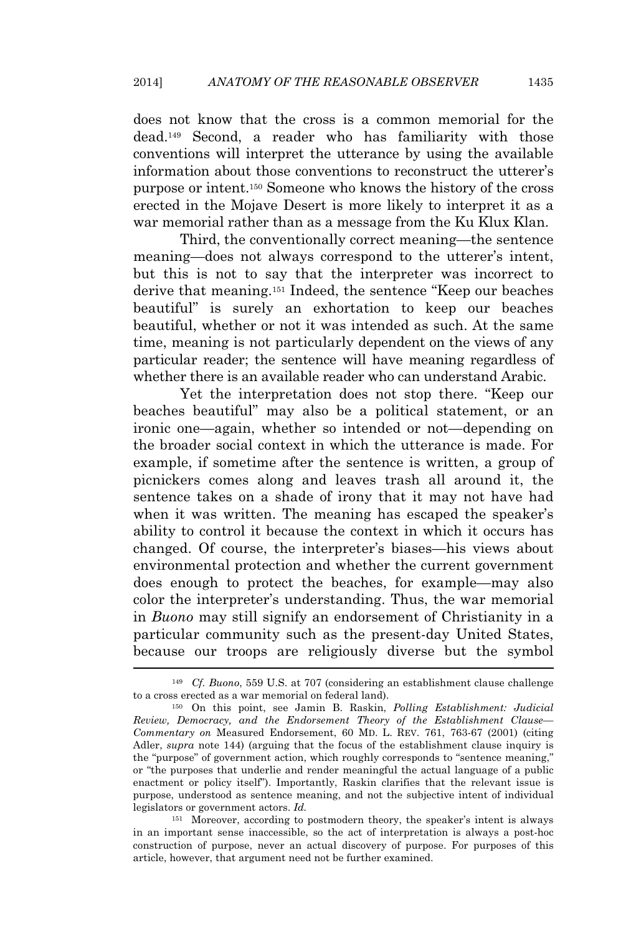does not know that the cross is a common memorial for the dead.<sup>149</sup> Second, a reader who has familiarity with those conventions will interpret the utterance by using the available information about those conventions to reconstruct the utterer's purpose or intent.<sup>150</sup> Someone who knows the history of the cross erected in the Mojave Desert is more likely to interpret it as a war memorial rather than as a message from the Ku Klux Klan.

Third, the conventionally correct meaning—the sentence meaning—does not always correspond to the utterer's intent, but this is not to say that the interpreter was incorrect to derive that meaning.<sup>151</sup> Indeed, the sentence "Keep our beaches beautiful" is surely an exhortation to keep our beaches beautiful, whether or not it was intended as such. At the same time, meaning is not particularly dependent on the views of any particular reader; the sentence will have meaning regardless of whether there is an available reader who can understand Arabic.

Yet the interpretation does not stop there. "Keep our beaches beautiful" may also be a political statement, or an ironic one—again, whether so intended or not—depending on the broader social context in which the utterance is made. For example, if sometime after the sentence is written, a group of picnickers comes along and leaves trash all around it, the sentence takes on a shade of irony that it may not have had when it was written. The meaning has escaped the speaker's ability to control it because the context in which it occurs has changed. Of course, the interpreter's biases—his views about environmental protection and whether the current government does enough to protect the beaches, for example—may also color the interpreter's understanding. Thus, the war memorial in *Buono* may still signify an endorsement of Christianity in a particular community such as the present-day United States, because our troops are religiously diverse but the symbol

<sup>149</sup> *Cf. Buono*, 559 U.S. at 707 (considering an establishment clause challenge to a cross erected as a war memorial on federal land).

<sup>150</sup> On this point, see Jamin B. Raskin, *Polling Establishment: Judicial Review, Democracy, and the Endorsement Theory of the Establishment Clause— Commentary on* Measured Endorsement, 60 MD. L. REV. 761, 763-67 (2001) (citing Adler, *supra* note 144) (arguing that the focus of the establishment clause inquiry is the "purpose" of government action, which roughly corresponds to "sentence meaning," or "the purposes that underlie and render meaningful the actual language of a public enactment or policy itself"). Importantly, Raskin clarifies that the relevant issue is purpose, understood as sentence meaning, and not the subjective intent of individual legislators or government actors. *Id.*

<sup>151</sup> Moreover, according to postmodern theory, the speaker's intent is always in an important sense inaccessible, so the act of interpretation is always a post-hoc construction of purpose, never an actual discovery of purpose. For purposes of this article, however, that argument need not be further examined.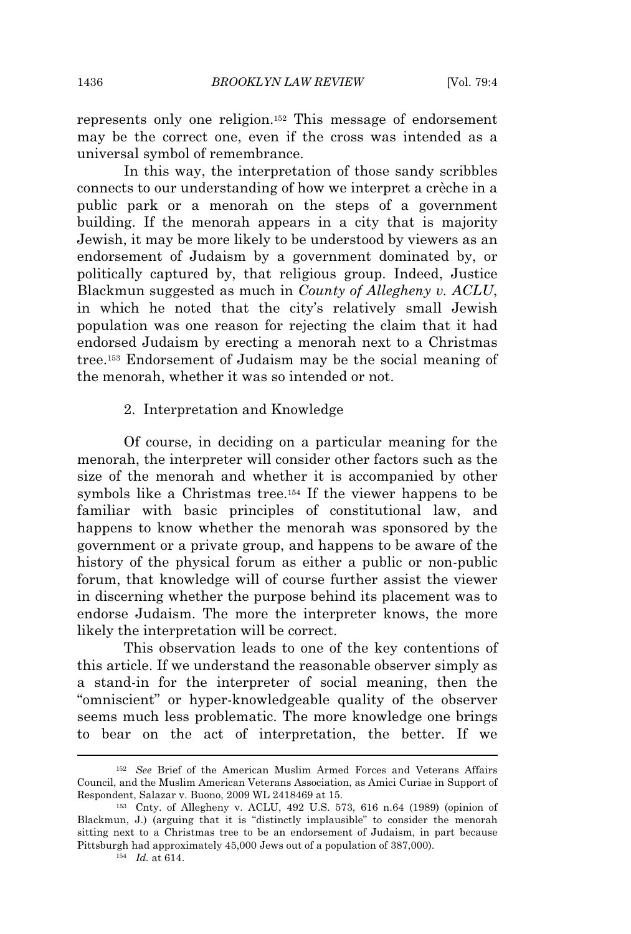represents only one religion.<sup>152</sup> This message of endorsement may be the correct one, even if the cross was intended as a universal symbol of remembrance.

In this way, the interpretation of those sandy scribbles connects to our understanding of how we interpret a crèche in a public park or a menorah on the steps of a government building. If the menorah appears in a city that is majority Jewish, it may be more likely to be understood by viewers as an endorsement of Judaism by a government dominated by, or politically captured by, that religious group. Indeed, Justice Blackmun suggested as much in *County of Allegheny v. ACLU*, in which he noted that the city's relatively small Jewish population was one reason for rejecting the claim that it had endorsed Judaism by erecting a menorah next to a Christmas tree.<sup>153</sup> Endorsement of Judaism may be the social meaning of the menorah, whether it was so intended or not.

#### 2. Interpretation and Knowledge

Of course, in deciding on a particular meaning for the menorah, the interpreter will consider other factors such as the size of the menorah and whether it is accompanied by other symbols like a Christmas tree.<sup>154</sup> If the viewer happens to be familiar with basic principles of constitutional law, and happens to know whether the menorah was sponsored by the government or a private group, and happens to be aware of the history of the physical forum as either a public or non-public forum, that knowledge will of course further assist the viewer in discerning whether the purpose behind its placement was to endorse Judaism. The more the interpreter knows, the more likely the interpretation will be correct.

This observation leads to one of the key contentions of this article. If we understand the reasonable observer simply as a stand-in for the interpreter of social meaning, then the "omniscient" or hyper-knowledgeable quality of the observer seems much less problematic. The more knowledge one brings to bear on the act of interpretation, the better. If we

<sup>152</sup> *See* Brief of the American Muslim Armed Forces and Veterans Affairs Council, and the Muslim American Veterans Association, as Amici Curiae in Support of Respondent, Salazar v. Buono, 2009 WL 2418469 at 15.

<sup>153</sup> Cnty. of Allegheny v. ACLU, 492 U.S. 573, 616 n.64 (1989) (opinion of Blackmun, J.) (arguing that it is "distinctly implausible" to consider the menorah sitting next to a Christmas tree to be an endorsement of Judaism, in part because Pittsburgh had approximately 45,000 Jews out of a population of 387,000).

<sup>154</sup> *Id.* at 614.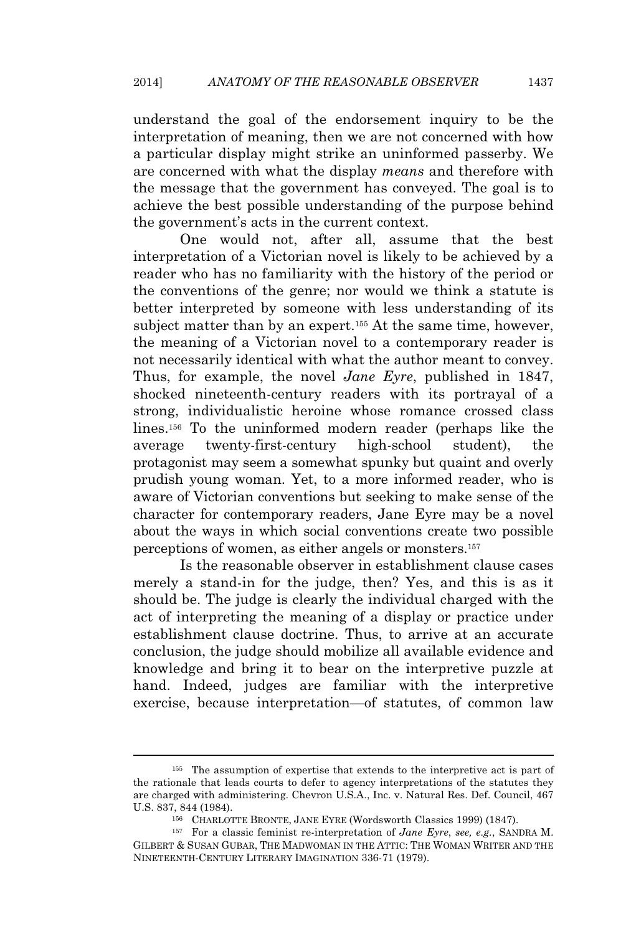understand the goal of the endorsement inquiry to be the interpretation of meaning, then we are not concerned with how a particular display might strike an uninformed passerby. We are concerned with what the display *means* and therefore with the message that the government has conveyed. The goal is to achieve the best possible understanding of the purpose behind the government's acts in the current context.

One would not, after all, assume that the best interpretation of a Victorian novel is likely to be achieved by a reader who has no familiarity with the history of the period or the conventions of the genre; nor would we think a statute is better interpreted by someone with less understanding of its subject matter than by an expert.<sup>155</sup> At the same time, however, the meaning of a Victorian novel to a contemporary reader is not necessarily identical with what the author meant to convey. Thus, for example, the novel *Jane Eyre*, published in 1847, shocked nineteenth-century readers with its portrayal of a strong, individualistic heroine whose romance crossed class lines.<sup>156</sup> To the uninformed modern reader (perhaps like the average twenty-first-century high-school student), the protagonist may seem a somewhat spunky but quaint and overly prudish young woman. Yet, to a more informed reader, who is aware of Victorian conventions but seeking to make sense of the character for contemporary readers, Jane Eyre may be a novel about the ways in which social conventions create two possible perceptions of women, as either angels or monsters.<sup>157</sup>

Is the reasonable observer in establishment clause cases merely a stand-in for the judge, then? Yes, and this is as it should be. The judge is clearly the individual charged with the act of interpreting the meaning of a display or practice under establishment clause doctrine. Thus, to arrive at an accurate conclusion, the judge should mobilize all available evidence and knowledge and bring it to bear on the interpretive puzzle at hand. Indeed, judges are familiar with the interpretive exercise, because interpretation—of statutes, of common law

<sup>&</sup>lt;sup>155</sup> The assumption of expertise that extends to the interpretive act is part of the rationale that leads courts to defer to agency interpretations of the statutes they are charged with administering. Chevron U.S.A., Inc. v. Natural Res. Def. Council, 467 U.S. 837, 844 (1984).

<sup>156</sup> CHARLOTTE BRONTE, JANE EYRE (Wordsworth Classics 1999) (1847).

<sup>157</sup> For a classic feminist re-interpretation of *Jane Eyre*, *see, e.g.*, SANDRA M. GILBERT & SUSAN GUBAR, THE MADWOMAN IN THE ATTIC: THE WOMAN WRITER AND THE NINETEENTH-CENTURY LITERARY IMAGINATION 336-71 (1979).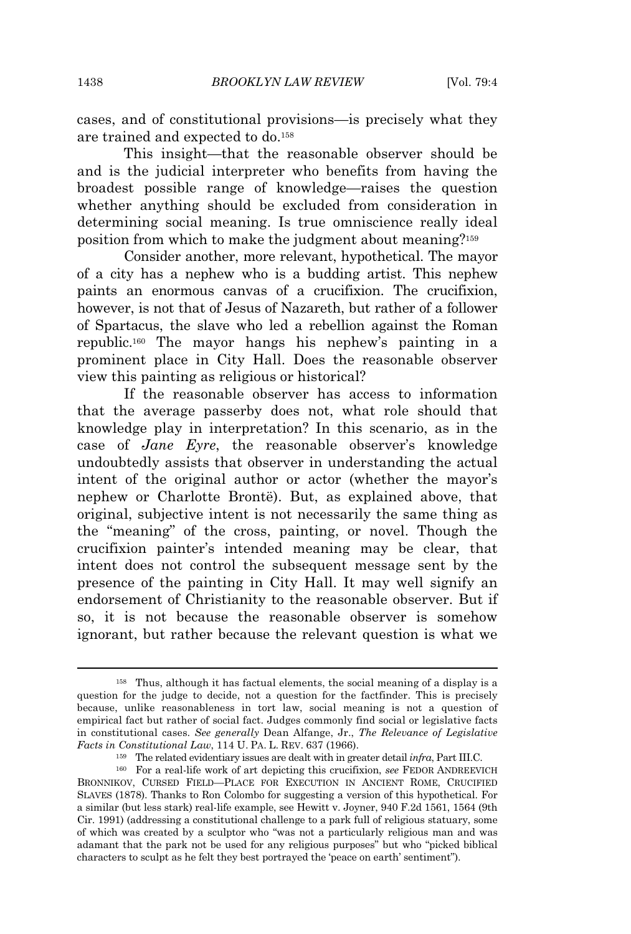cases, and of constitutional provisions—is precisely what they are trained and expected to do.<sup>158</sup>

This insight—that the reasonable observer should be and is the judicial interpreter who benefits from having the broadest possible range of knowledge—raises the question whether anything should be excluded from consideration in determining social meaning. Is true omniscience really ideal position from which to make the judgment about meaning?<sup>159</sup>

Consider another, more relevant, hypothetical. The mayor of a city has a nephew who is a budding artist. This nephew paints an enormous canvas of a crucifixion. The crucifixion, however, is not that of Jesus of Nazareth, but rather of a follower of Spartacus, the slave who led a rebellion against the Roman republic.<sup>160</sup> The mayor hangs his nephew's painting in a prominent place in City Hall. Does the reasonable observer view this painting as religious or historical?

If the reasonable observer has access to information that the average passerby does not, what role should that knowledge play in interpretation? In this scenario, as in the case of *Jane Eyre*, the reasonable observer's knowledge undoubtedly assists that observer in understanding the actual intent of the original author or actor (whether the mayor's nephew or Charlotte Brontë). But, as explained above, that original, subjective intent is not necessarily the same thing as the "meaning" of the cross, painting, or novel. Though the crucifixion painter's intended meaning may be clear, that intent does not control the subsequent message sent by the presence of the painting in City Hall. It may well signify an endorsement of Christianity to the reasonable observer. But if so, it is not because the reasonable observer is somehow ignorant, but rather because the relevant question is what we

<sup>158</sup> Thus, although it has factual elements, the social meaning of a display is a question for the judge to decide, not a question for the factfinder. This is precisely because, unlike reasonableness in tort law, social meaning is not a question of empirical fact but rather of social fact. Judges commonly find social or legislative facts in constitutional cases. *See generally* Dean Alfange, Jr., *The Relevance of Legislative Facts in Constitutional Law*, 114 U. PA. L. REV. 637 (1966).

<sup>159</sup> The related evidentiary issues are dealt with in greater detail *infra*, Part III.C.

<sup>160</sup> For a real-life work of art depicting this crucifixion, *see* FEDOR ANDREEVICH BRONNIKOV, CURSED FIELD—PLACE FOR EXECUTION IN ANCIENT ROME, CRUCIFIED SLAVES (1878). Thanks to Ron Colombo for suggesting a version of this hypothetical. For a similar (but less stark) real-life example, see Hewitt v. Joyner, 940 F.2d 1561, 1564 (9th Cir. 1991) (addressing a constitutional challenge to a park full of religious statuary, some of which was created by a sculptor who "was not a particularly religious man and was adamant that the park not be used for any religious purposes" but who "picked biblical characters to sculpt as he felt they best portrayed the 'peace on earth' sentiment").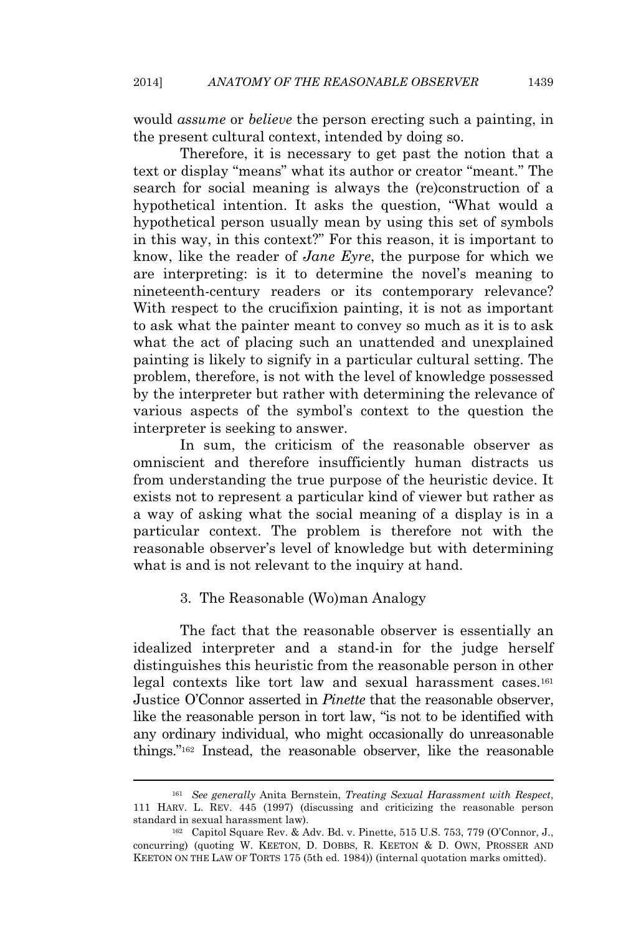would *assume* or *believe* the person erecting such a painting, in the present cultural context, intended by doing so.

Therefore, it is necessary to get past the notion that a text or display "means" what its author or creator "meant." The search for social meaning is always the (re)construction of a hypothetical intention. It asks the question, "What would a hypothetical person usually mean by using this set of symbols in this way, in this context?" For this reason, it is important to know, like the reader of *Jane Eyre*, the purpose for which we are interpreting: is it to determine the novel's meaning to nineteenth-century readers or its contemporary relevance? With respect to the crucifixion painting, it is not as important to ask what the painter meant to convey so much as it is to ask what the act of placing such an unattended and unexplained painting is likely to signify in a particular cultural setting. The problem, therefore, is not with the level of knowledge possessed by the interpreter but rather with determining the relevance of various aspects of the symbol's context to the question the interpreter is seeking to answer.

In sum, the criticism of the reasonable observer as omniscient and therefore insufficiently human distracts us from understanding the true purpose of the heuristic device. It exists not to represent a particular kind of viewer but rather as a way of asking what the social meaning of a display is in a particular context. The problem is therefore not with the reasonable observer's level of knowledge but with determining what is and is not relevant to the inquiry at hand.

# 3. The Reasonable (Wo)man Analogy

The fact that the reasonable observer is essentially an idealized interpreter and a stand-in for the judge herself distinguishes this heuristic from the reasonable person in other legal contexts like tort law and sexual harassment cases.<sup>161</sup> Justice O'Connor asserted in *Pinette* that the reasonable observer, like the reasonable person in tort law, "is not to be identified with any ordinary individual, who might occasionally do unreasonable things." <sup>162</sup> Instead, the reasonable observer, like the reasonable

<sup>161</sup> *See generally* Anita Bernstein, *Treating Sexual Harassment with Respect*, 111 HARV. L. REV. 445 (1997) (discussing and criticizing the reasonable person standard in sexual harassment law).

<sup>162</sup> Capitol Square Rev. & Adv. Bd. v. Pinette, 515 U.S. 753, 779 (O'Connor, J., concurring) (quoting W. KEETON, D. DOBBS, R. KEETON & D. OWN, PROSSER AND KEETON ON THE LAW OF TORTS 175 (5th ed. 1984)) (internal quotation marks omitted).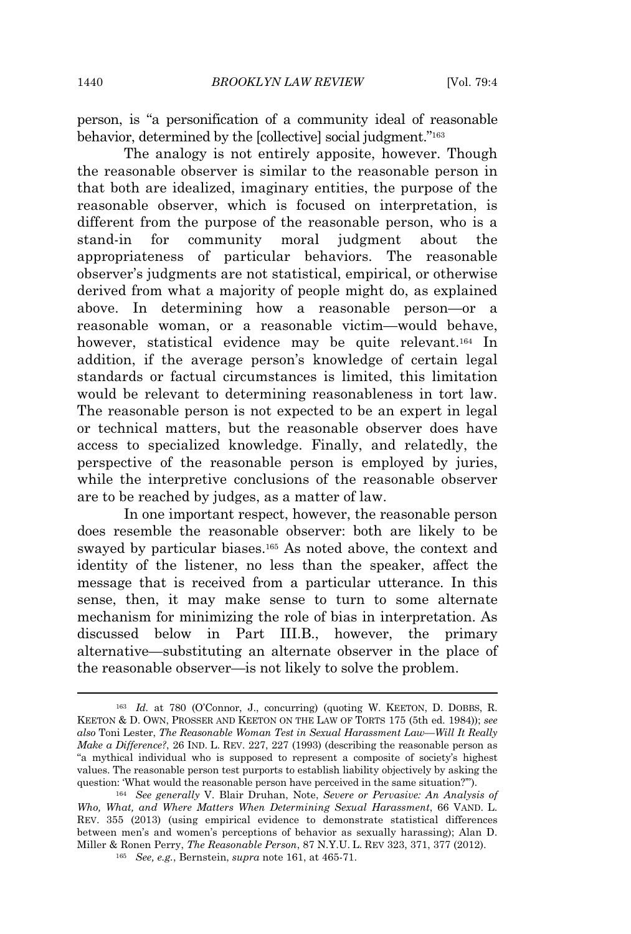person, is "a personification of a community ideal of reasonable behavior, determined by the [collective] social judgment."<sup>163</sup>

The analogy is not entirely apposite, however. Though the reasonable observer is similar to the reasonable person in that both are idealized, imaginary entities, the purpose of the reasonable observer, which is focused on interpretation, is different from the purpose of the reasonable person, who is a stand-in for community moral judgment about the appropriateness of particular behaviors. The reasonable observer's judgments are not statistical, empirical, or otherwise derived from what a majority of people might do, as explained above. In determining how a reasonable person—or a reasonable woman, or a reasonable victim—would behave, however, statistical evidence may be quite relevant.<sup>164</sup> In addition, if the average person's knowledge of certain legal standards or factual circumstances is limited, this limitation would be relevant to determining reasonableness in tort law. The reasonable person is not expected to be an expert in legal or technical matters, but the reasonable observer does have access to specialized knowledge. Finally, and relatedly, the perspective of the reasonable person is employed by juries, while the interpretive conclusions of the reasonable observer are to be reached by judges, as a matter of law.

In one important respect, however, the reasonable person does resemble the reasonable observer: both are likely to be swayed by particular biases.<sup>165</sup> As noted above, the context and identity of the listener, no less than the speaker, affect the message that is received from a particular utterance. In this sense, then, it may make sense to turn to some alternate mechanism for minimizing the role of bias in interpretation. As discussed below in Part III.B., however, the primary alternative—substituting an alternate observer in the place of the reasonable observer—is not likely to solve the problem.

<sup>&</sup>lt;sup>163</sup> *Id.* at 780 (O'Connor, J., concurring) (quoting W. KEETON, D. DOBBS, R. KEETON & D. OWN, PROSSER AND KEETON ON THE LAW OF TORTS 175 (5th ed. 1984)); *see also* Toni Lester, *The Reasonable Woman Test in Sexual Harassment Law—Will It Really Make a Difference?*, 26 IND. L. REV. 227, 227 (1993) (describing the reasonable person as "a mythical individual who is supposed to represent a composite of society's highest values. The reasonable person test purports to establish liability objectively by asking the question: 'What would the reasonable person have perceived in the same situation?'").

<sup>164</sup> *See generally* V. Blair Druhan, Note, *Severe or Pervasive: An Analysis of Who, What, and Where Matters When Determining Sexual Harassment*, 66 VAND. L. REV. 355 (2013) (using empirical evidence to demonstrate statistical differences between men's and women's perceptions of behavior as sexually harassing); Alan D. Miller & Ronen Perry, *The Reasonable Person*, 87 N.Y.U. L. REV 323, 371, 377 (2012).

<sup>165</sup> *See, e.g.*, Bernstein, *supra* note 161, at 465-71.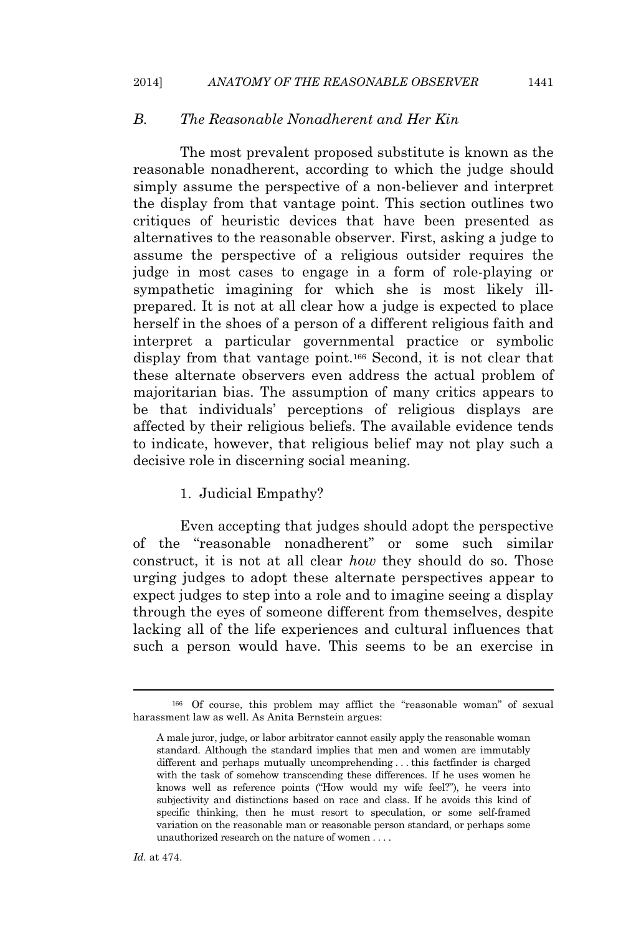#### *B. The Reasonable Nonadherent and Her Kin*

The most prevalent proposed substitute is known as the reasonable nonadherent, according to which the judge should simply assume the perspective of a non-believer and interpret the display from that vantage point. This section outlines two critiques of heuristic devices that have been presented as alternatives to the reasonable observer. First, asking a judge to assume the perspective of a religious outsider requires the judge in most cases to engage in a form of role-playing or sympathetic imagining for which she is most likely illprepared. It is not at all clear how a judge is expected to place herself in the shoes of a person of a different religious faith and interpret a particular governmental practice or symbolic display from that vantage point.<sup>166</sup> Second, it is not clear that these alternate observers even address the actual problem of majoritarian bias. The assumption of many critics appears to be that individuals' perceptions of religious displays are affected by their religious beliefs. The available evidence tends to indicate, however, that religious belief may not play such a decisive role in discerning social meaning.

# 1. Judicial Empathy?

Even accepting that judges should adopt the perspective of the "reasonable nonadherent" or some such similar construct, it is not at all clear *how* they should do so. Those urging judges to adopt these alternate perspectives appear to expect judges to step into a role and to imagine seeing a display through the eyes of someone different from themselves, despite lacking all of the life experiences and cultural influences that such a person would have. This seems to be an exercise in

<sup>166</sup> Of course, this problem may afflict the "reasonable woman" of sexual harassment law as well. As Anita Bernstein argues:

A male juror, judge, or labor arbitrator cannot easily apply the reasonable woman standard. Although the standard implies that men and women are immutably different and perhaps mutually uncomprehending . . . this factfinder is charged with the task of somehow transcending these differences. If he uses women he knows well as reference points ("How would my wife feel?"), he veers into subjectivity and distinctions based on race and class. If he avoids this kind of specific thinking, then he must resort to speculation, or some self-framed variation on the reasonable man or reasonable person standard, or perhaps some unauthorized research on the nature of women . . . .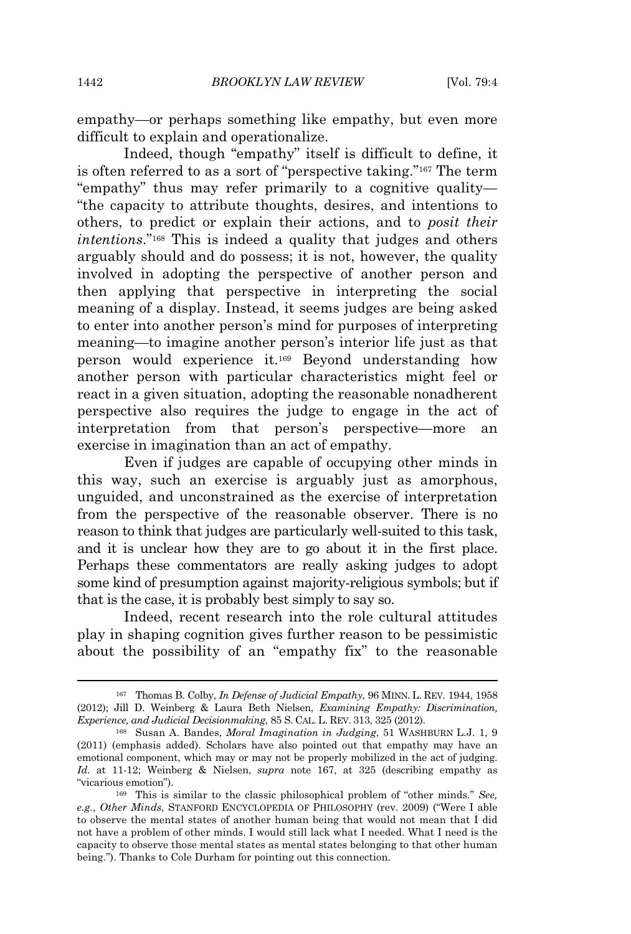empathy—or perhaps something like empathy, but even more difficult to explain and operationalize.

Indeed, though "empathy" itself is difficult to define, it is often referred to as a sort of "perspective taking."<sup>167</sup> The term "empathy" thus may refer primarily to a cognitive quality— "the capacity to attribute thoughts, desires, and intentions to others, to predict or explain their actions, and to *posit their intentions*." <sup>168</sup> This is indeed a quality that judges and others arguably should and do possess; it is not, however, the quality involved in adopting the perspective of another person and then applying that perspective in interpreting the social meaning of a display. Instead, it seems judges are being asked to enter into another person's mind for purposes of interpreting meaning—to imagine another person's interior life just as that person would experience it.<sup>169</sup> Beyond understanding how another person with particular characteristics might feel or react in a given situation, adopting the reasonable nonadherent perspective also requires the judge to engage in the act of interpretation from that person's perspective—more an exercise in imagination than an act of empathy.

Even if judges are capable of occupying other minds in this way, such an exercise is arguably just as amorphous, unguided, and unconstrained as the exercise of interpretation from the perspective of the reasonable observer. There is no reason to think that judges are particularly well-suited to this task, and it is unclear how they are to go about it in the first place. Perhaps these commentators are really asking judges to adopt some kind of presumption against majority-religious symbols; but if that is the case, it is probably best simply to say so.

Indeed, recent research into the role cultural attitudes play in shaping cognition gives further reason to be pessimistic about the possibility of an "empathy fix" to the reasonable

<sup>167</sup> Thomas B. Colby, *In Defense of Judicial Empathy*, 96 MINN. L. REV. 1944, 1958 (2012); Jill D. Weinberg & Laura Beth Nielsen, *Examining Empathy: Discrimination, Experience, and Judicial Decisionmaking*, 85 S. CAL. L. REV. 313, 325 (2012).

<sup>168</sup> Susan A. Bandes, *Moral Imagination in Judging*, 51 WASHBURN L.J. 1, 9 (2011) (emphasis added). Scholars have also pointed out that empathy may have an emotional component, which may or may not be properly mobilized in the act of judging. *Id.* at 11-12; Weinberg & Nielsen, *supra* note 167, at 325 (describing empathy as "vicarious emotion").

<sup>169</sup> This is similar to the classic philosophical problem of "other minds." *See, e.g.*, *Other Minds*, STANFORD ENCYCLOPEDIA OF PHILOSOPHY (rev. 2009) ("Were I able to observe the mental states of another human being that would not mean that I did not have a problem of other minds. I would still lack what I needed. What I need is the capacity to observe those mental states as mental states belonging to that other human being."). Thanks to Cole Durham for pointing out this connection.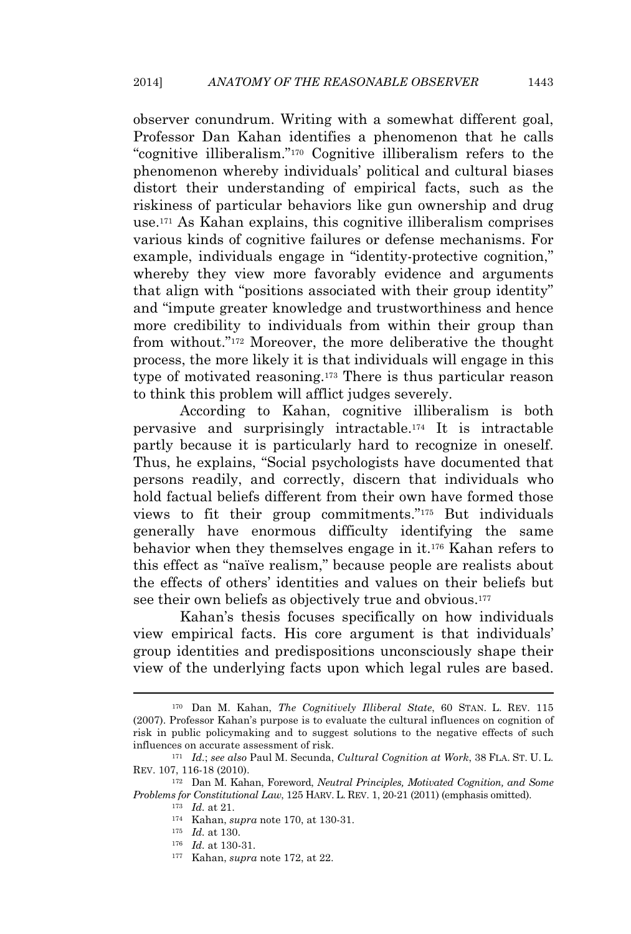observer conundrum. Writing with a somewhat different goal, Professor Dan Kahan identifies a phenomenon that he calls "cognitive illiberalism." <sup>170</sup> Cognitive illiberalism refers to the phenomenon whereby individuals' political and cultural biases distort their understanding of empirical facts, such as the riskiness of particular behaviors like gun ownership and drug use.<sup>171</sup> As Kahan explains, this cognitive illiberalism comprises various kinds of cognitive failures or defense mechanisms. For example, individuals engage in "identity-protective cognition," whereby they view more favorably evidence and arguments that align with "positions associated with their group identity" and "impute greater knowledge and trustworthiness and hence more credibility to individuals from within their group than from without."<sup>172</sup> Moreover, the more deliberative the thought process, the more likely it is that individuals will engage in this type of motivated reasoning.<sup>173</sup> There is thus particular reason to think this problem will afflict judges severely.

According to Kahan, cognitive illiberalism is both pervasive and surprisingly intractable.<sup>174</sup> It is intractable partly because it is particularly hard to recognize in oneself. Thus, he explains, "Social psychologists have documented that persons readily, and correctly, discern that individuals who hold factual beliefs different from their own have formed those views to fit their group commitments." <sup>175</sup> But individuals generally have enormous difficulty identifying the same behavior when they themselves engage in it.<sup>176</sup> Kahan refers to this effect as "naïve realism," because people are realists about the effects of others' identities and values on their beliefs but see their own beliefs as objectively true and obvious.<sup>177</sup>

Kahan's thesis focuses specifically on how individuals view empirical facts. His core argument is that individuals' group identities and predispositions unconsciously shape their view of the underlying facts upon which legal rules are based.

- <sup>176</sup> *Id.* at 130-31.
- <sup>177</sup> Kahan, *supra* note 172, at 22.

<sup>170</sup> Dan M. Kahan, *The Cognitively Illiberal State*, 60 STAN. L. REV. 115 (2007). Professor Kahan's purpose is to evaluate the cultural influences on cognition of risk in public policymaking and to suggest solutions to the negative effects of such influences on accurate assessment of risk.

<sup>171</sup> *Id.*; *see also* Paul M. Secunda, *Cultural Cognition at Work*, 38 FLA. ST. U. L. REV. 107, 116-18 (2010).

<sup>172</sup> Dan M. Kahan, Foreword, *Neutral Principles, Motivated Cognition, and Some Problems for Constitutional Law*, 125 HARV. L. REV. 1, 20-21 (2011) (emphasis omitted).

<sup>173</sup> *Id.* at 21.

<sup>174</sup> Kahan, *supra* note 170, at 130-31.

<sup>175</sup> *Id.* at 130.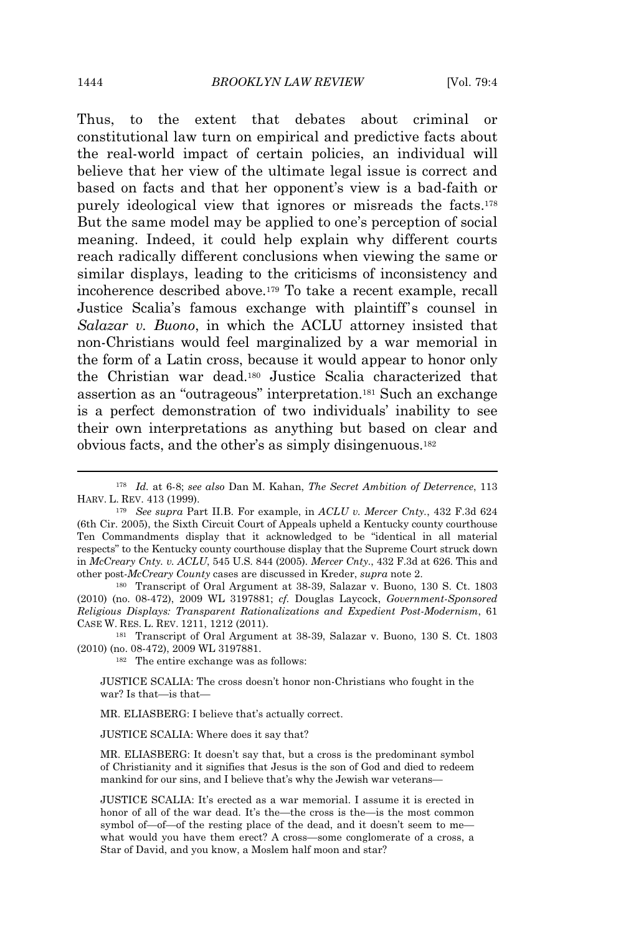Thus, to the extent that debates about criminal or constitutional law turn on empirical and predictive facts about the real-world impact of certain policies, an individual will believe that her view of the ultimate legal issue is correct and based on facts and that her opponent's view is a bad-faith or purely ideological view that ignores or misreads the facts.<sup>178</sup> But the same model may be applied to one's perception of social meaning. Indeed, it could help explain why different courts reach radically different conclusions when viewing the same or similar displays, leading to the criticisms of inconsistency and incoherence described above.<sup>179</sup> To take a recent example, recall Justice Scalia's famous exchange with plaintiff's counsel in *Salazar v. Buono*, in which the ACLU attorney insisted that non-Christians would feel marginalized by a war memorial in the form of a Latin cross, because it would appear to honor only the Christian war dead.<sup>180</sup> Justice Scalia characterized that assertion as an "outrageous" interpretation.<sup>181</sup> Such an exchange is a perfect demonstration of two individuals' inability to see their own interpretations as anything but based on clear and obvious facts, and the other's as simply disingenuous.<sup>182</sup>

<sup>181</sup> Transcript of Oral Argument at 38-39, Salazar v. Buono, 130 S. Ct. 1803 (2010) (no. 08-472), 2009 WL 3197881.

<sup>182</sup> The entire exchange was as follows:

JUSTICE SCALIA: The cross doesn't honor non-Christians who fought in the war? Is that—is that—

MR. ELIASBERG: I believe that's actually correct.

JUSTICE SCALIA: Where does it say that?

MR. ELIASBERG: It doesn't say that, but a cross is the predominant symbol of Christianity and it signifies that Jesus is the son of God and died to redeem mankind for our sins, and I believe that's why the Jewish war veterans—

<sup>178</sup> *Id.* at 6-8; *see also* Dan M. Kahan, *The Secret Ambition of Deterrence*, 113 HARV. L. REV. 413 (1999).

<sup>179</sup> *See supra* Part II.B. For example, in *ACLU v. Mercer Cnty.*, 432 F.3d 624 (6th Cir. 2005), the Sixth Circuit Court of Appeals upheld a Kentucky county courthouse Ten Commandments display that it acknowledged to be "identical in all material respects" to the Kentucky county courthouse display that the Supreme Court struck down in *McCreary Cnty. v. ACLU*, 545 U.S. 844 (2005). *Mercer Cnty.*, 432 F.3d at 626. This and other post-*McCreary County* cases are discussed in Kreder, *supra* note 2.

<sup>180</sup> Transcript of Oral Argument at 38-39, Salazar v. Buono, 130 S. Ct. 1803 (2010) (no. 08-472), 2009 WL 3197881; *cf.* Douglas Laycock, *Government-Sponsored Religious Displays: Transparent Rationalizations and Expedient Post-Modernism*, 61 CASE W. RES. L. REV. 1211, 1212 (2011).

JUSTICE SCALIA: It's erected as a war memorial. I assume it is erected in honor of all of the war dead. It's the—the cross is the—is the most common symbol of—of—of the resting place of the dead, and it doesn't seem to me what would you have them erect? A cross—some conglomerate of a cross, a Star of David, and you know, a Moslem half moon and star?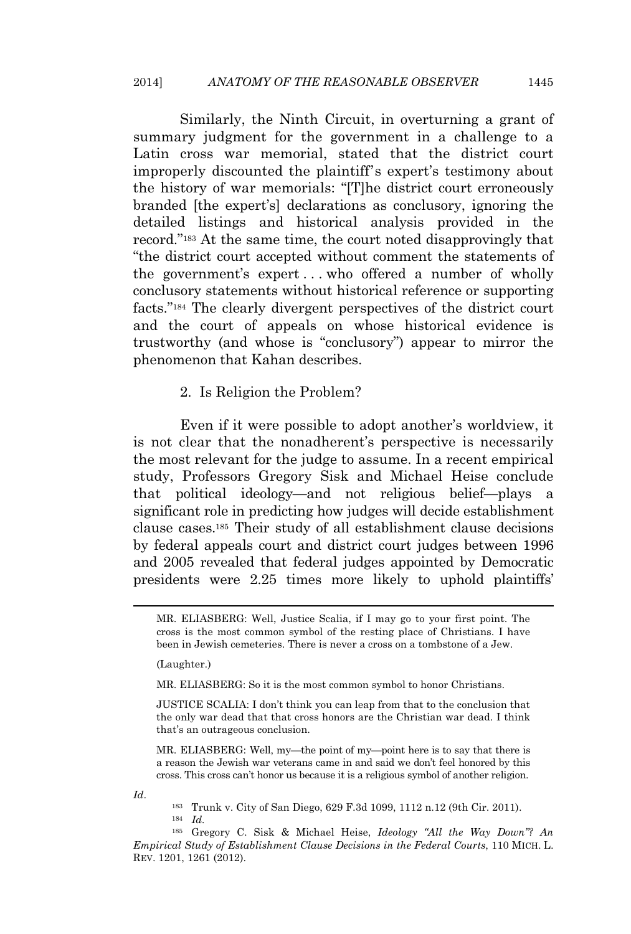#### 2014] *ANATOMY OF THE REASONABLE OBSERVER* 1445

Similarly, the Ninth Circuit, in overturning a grant of summary judgment for the government in a challenge to a Latin cross war memorial, stated that the district court improperly discounted the plaintiff's expert's testimony about the history of war memorials: "[T]he district court erroneously branded [the expert's] declarations as conclusory, ignoring the detailed listings and historical analysis provided in the record." <sup>183</sup> At the same time, the court noted disapprovingly that "the district court accepted without comment the statements of the government's expert . . . who offered a number of wholly conclusory statements without historical reference or supporting facts." <sup>184</sup> The clearly divergent perspectives of the district court and the court of appeals on whose historical evidence is trustworthy (and whose is "conclusory") appear to mirror the phenomenon that Kahan describes.

#### 2. Is Religion the Problem?

Even if it were possible to adopt another's worldview, it is not clear that the nonadherent's perspective is necessarily the most relevant for the judge to assume. In a recent empirical study, Professors Gregory Sisk and Michael Heise conclude that political ideology—and not religious belief—plays a significant role in predicting how judges will decide establishment clause cases.<sup>185</sup> Their study of all establishment clause decisions by federal appeals court and district court judges between 1996 and 2005 revealed that federal judges appointed by Democratic presidents were 2.25 times more likely to uphold plaintiffs'

(Laughter.)

MR. ELIASBERG: So it is the most common symbol to honor Christians.

MR. ELIASBERG: Well, my—the point of my—point here is to say that there is a reason the Jewish war veterans came in and said we don't feel honored by this cross. This cross can't honor us because it is a religious symbol of another religion.

*Id*.

<sup>183</sup> Trunk v. City of San Diego, 629 F.3d 1099, 1112 n.12 (9th Cir. 2011). <sup>184</sup> *Id.*

MR. ELIASBERG: Well, Justice Scalia, if I may go to your first point. The cross is the most common symbol of the resting place of Christians. I have been in Jewish cemeteries. There is never a cross on a tombstone of a Jew.

JUSTICE SCALIA: I don't think you can leap from that to the conclusion that the only war dead that that cross honors are the Christian war dead. I think that's an outrageous conclusion.

<sup>185</sup> Gregory C. Sisk & Michael Heise, *Ideology "All the Way Down"? An Empirical Study of Establishment Clause Decisions in the Federal Courts*, 110 MICH. L. REV. 1201, 1261 (2012).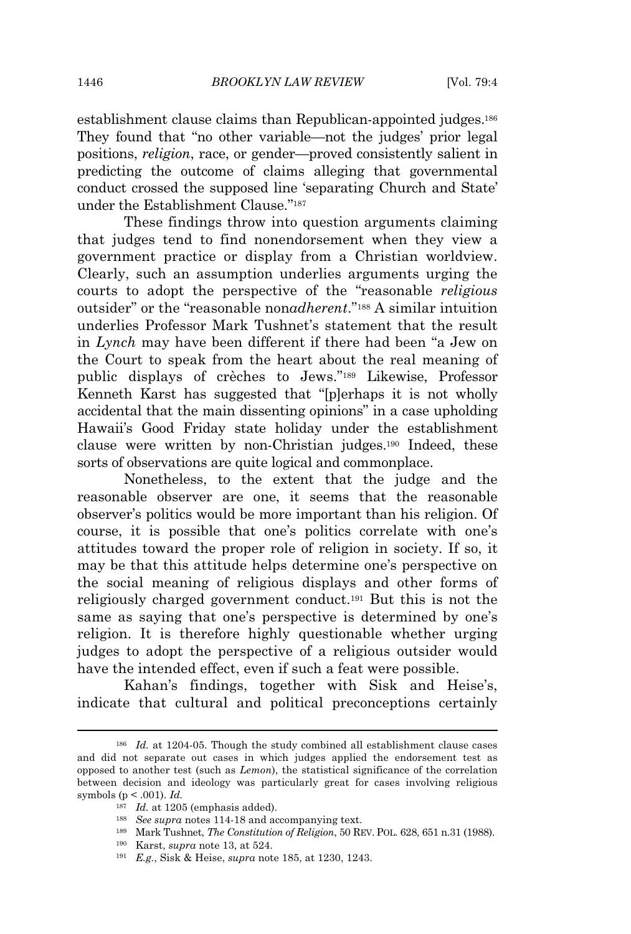establishment clause claims than Republican-appointed judges.<sup>186</sup> They found that "no other variable—not the judges' prior legal positions, *religion*, race, or gender—proved consistently salient in predicting the outcome of claims alleging that governmental conduct crossed the supposed line 'separating Church and State' under the Establishment Clause."<sup>187</sup>

These findings throw into question arguments claiming that judges tend to find nonendorsement when they view a government practice or display from a Christian worldview. Clearly, such an assumption underlies arguments urging the courts to adopt the perspective of the "reasonable *religious* outsider" or the "reasonable non*adherent*." <sup>188</sup> A similar intuition underlies Professor Mark Tushnet's statement that the result in *Lynch* may have been different if there had been "a Jew on the Court to speak from the heart about the real meaning of public displays of crèches to Jews." <sup>189</sup> Likewise, Professor Kenneth Karst has suggested that "[p]erhaps it is not wholly accidental that the main dissenting opinions" in a case upholding Hawaii's Good Friday state holiday under the establishment clause were written by non-Christian judges.<sup>190</sup> Indeed, these sorts of observations are quite logical and commonplace.

Nonetheless, to the extent that the judge and the reasonable observer are one, it seems that the reasonable observer's politics would be more important than his religion. Of course, it is possible that one's politics correlate with one's attitudes toward the proper role of religion in society. If so, it may be that this attitude helps determine one's perspective on the social meaning of religious displays and other forms of religiously charged government conduct.<sup>191</sup> But this is not the same as saying that one's perspective is determined by one's religion. It is therefore highly questionable whether urging judges to adopt the perspective of a religious outsider would have the intended effect, even if such a feat were possible.

Kahan's findings, together with Sisk and Heise's, indicate that cultural and political preconceptions certainly

- <sup>189</sup> Mark Tushnet, *The Constitution of Religion*, 50 REV. POL. 628, 651 n.31 (1988).
- <sup>190</sup> Karst, *supra* note 13, at 524.

<sup>&</sup>lt;sup>186</sup> *Id.* at 1204-05. Though the study combined all establishment clause cases and did not separate out cases in which judges applied the endorsement test as opposed to another test (such as *Lemon*), the statistical significance of the correlation between decision and ideology was particularly great for cases involving religious symbols (p < .001). *Id.*

<sup>&</sup>lt;sup>187</sup> *Id.* at 1205 (emphasis added).

<sup>188</sup> *See supra* notes 114-18 and accompanying text.

<sup>191</sup> *E.g.*, Sisk & Heise, *supra* note 185, at 1230, 1243.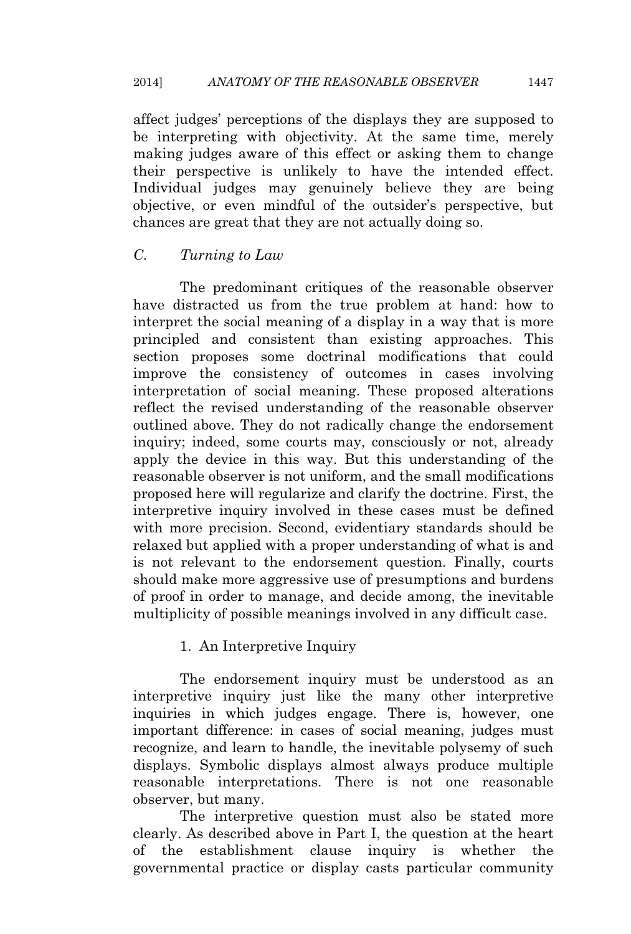affect judges' perceptions of the displays they are supposed to be interpreting with objectivity. At the same time, merely making judges aware of this effect or asking them to change their perspective is unlikely to have the intended effect. Individual judges may genuinely believe they are being objective, or even mindful of the outsider's perspective, but chances are great that they are not actually doing so.

# *C. Turning to Law*

The predominant critiques of the reasonable observer have distracted us from the true problem at hand: how to interpret the social meaning of a display in a way that is more principled and consistent than existing approaches. This section proposes some doctrinal modifications that could improve the consistency of outcomes in cases involving interpretation of social meaning. These proposed alterations reflect the revised understanding of the reasonable observer outlined above. They do not radically change the endorsement inquiry; indeed, some courts may, consciously or not, already apply the device in this way. But this understanding of the reasonable observer is not uniform, and the small modifications proposed here will regularize and clarify the doctrine. First, the interpretive inquiry involved in these cases must be defined with more precision. Second, evidentiary standards should be relaxed but applied with a proper understanding of what is and is not relevant to the endorsement question. Finally, courts should make more aggressive use of presumptions and burdens of proof in order to manage, and decide among, the inevitable multiplicity of possible meanings involved in any difficult case.

# 1. An Interpretive Inquiry

The endorsement inquiry must be understood as an interpretive inquiry just like the many other interpretive inquiries in which judges engage. There is, however, one important difference: in cases of social meaning, judges must recognize, and learn to handle, the inevitable polysemy of such displays. Symbolic displays almost always produce multiple reasonable interpretations. There is not one reasonable observer, but many.

The interpretive question must also be stated more clearly. As described above in Part I, the question at the heart of the establishment clause inquiry is whether the governmental practice or display casts particular community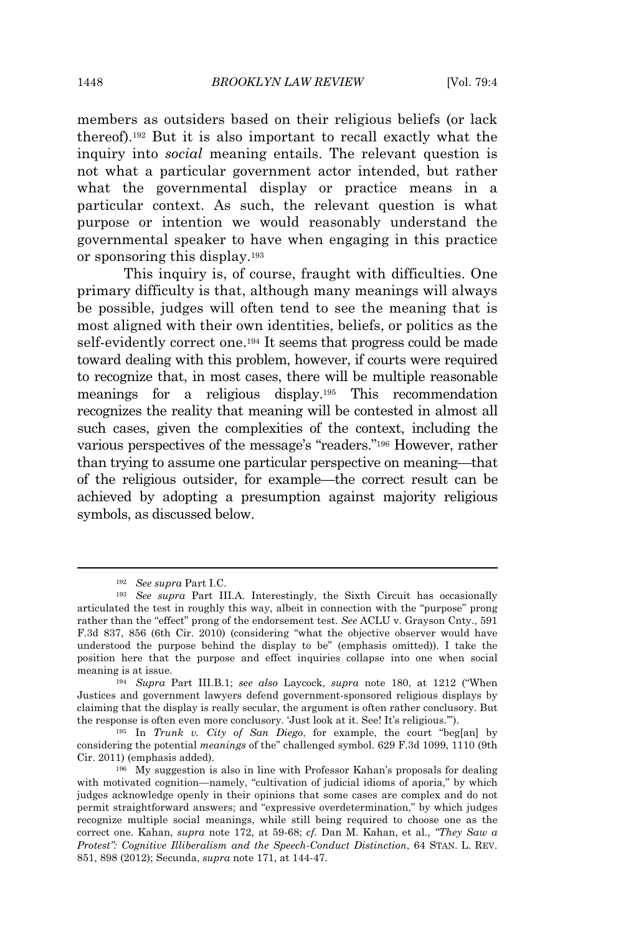members as outsiders based on their religious beliefs (or lack thereof).<sup>192</sup> But it is also important to recall exactly what the inquiry into *social* meaning entails. The relevant question is not what a particular government actor intended, but rather what the governmental display or practice means in a particular context. As such, the relevant question is what purpose or intention we would reasonably understand the governmental speaker to have when engaging in this practice or sponsoring this display.<sup>193</sup>

This inquiry is, of course, fraught with difficulties. One primary difficulty is that, although many meanings will always be possible, judges will often tend to see the meaning that is most aligned with their own identities, beliefs, or politics as the self-evidently correct one.<sup>194</sup> It seems that progress could be made toward dealing with this problem, however, if courts were required to recognize that, in most cases, there will be multiple reasonable meanings for a religious display.<sup>195</sup> This recommendation recognizes the reality that meaning will be contested in almost all such cases, given the complexities of the context, including the various perspectives of the message's "readers." <sup>196</sup> However, rather than trying to assume one particular perspective on meaning—that of the religious outsider, for example—the correct result can be achieved by adopting a presumption against majority religious symbols, as discussed below.

<sup>192</sup> *See supra* Part I.C.

<sup>193</sup> *See supra* Part III.A. Interestingly, the Sixth Circuit has occasionally articulated the test in roughly this way, albeit in connection with the "purpose" prong rather than the "effect" prong of the endorsement test. *See* ACLU v. Grayson Cnty., 591 F.3d 837, 856 (6th Cir. 2010) (considering "what the objective observer would have understood the purpose behind the display to be" (emphasis omitted)). I take the position here that the purpose and effect inquiries collapse into one when social meaning is at issue.

<sup>194</sup> *Supra* Part III.B.1; *see also* Laycock, *supra* note 180, at 1212 ("When Justices and government lawyers defend government-sponsored religious displays by claiming that the display is really secular, the argument is often rather conclusory. But the response is often even more conclusory. 'Just look at it. See! It's religious.'").

<sup>195</sup> In *Trunk v. City of San Diego*, for example, the court "beg[an] by considering the potential *meanings* of the" challenged symbol. 629 F.3d 1099, 1110 (9th Cir. 2011) (emphasis added).

<sup>196</sup> My suggestion is also in line with Professor Kahan's proposals for dealing with motivated cognition—namely, "cultivation of judicial idioms of aporia," by which judges acknowledge openly in their opinions that some cases are complex and do not permit straightforward answers; and "expressive overdetermination," by which judges recognize multiple social meanings, while still being required to choose one as the correct one. Kahan, *supra* note 172, at 59-68; *cf.* Dan M. Kahan, et al., *"They Saw a Protest": Cognitive Illiberalism and the Speech-Conduct Distinction*, 64 STAN. L. REV. 851, 898 (2012); Secunda, *supra* note 171, at 144-47.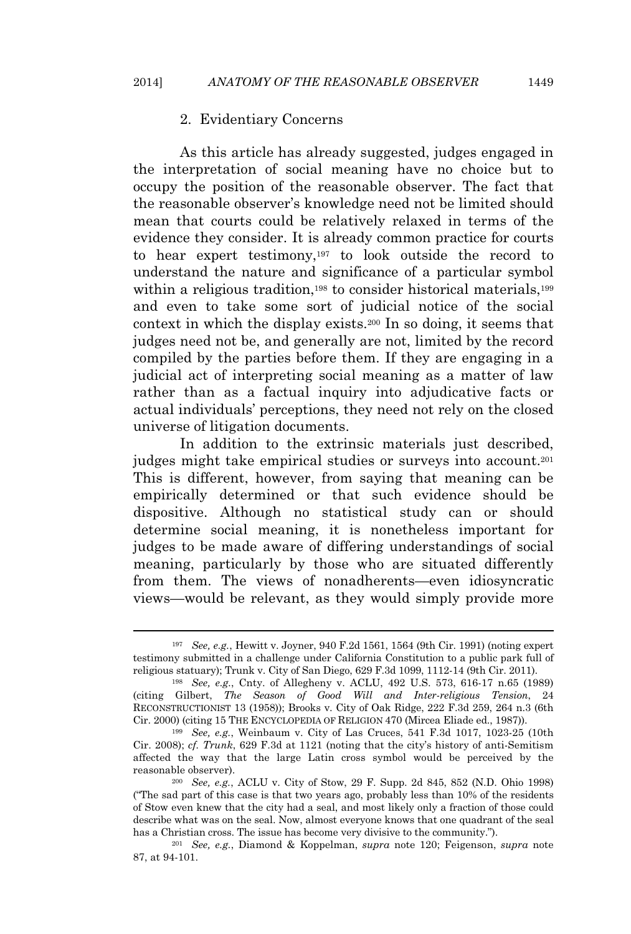# 2. Evidentiary Concerns

As this article has already suggested, judges engaged in the interpretation of social meaning have no choice but to occupy the position of the reasonable observer. The fact that the reasonable observer's knowledge need not be limited should mean that courts could be relatively relaxed in terms of the evidence they consider. It is already common practice for courts to hear expert testimony,<sup>197</sup> to look outside the record to understand the nature and significance of a particular symbol within a religious tradition,<sup>198</sup> to consider historical materials,<sup>199</sup> and even to take some sort of judicial notice of the social context in which the display exists.<sup>200</sup> In so doing, it seems that judges need not be, and generally are not, limited by the record compiled by the parties before them. If they are engaging in a judicial act of interpreting social meaning as a matter of law rather than as a factual inquiry into adjudicative facts or actual individuals' perceptions, they need not rely on the closed universe of litigation documents.

In addition to the extrinsic materials just described, judges might take empirical studies or surveys into account.<sup>201</sup> This is different, however, from saying that meaning can be empirically determined or that such evidence should be dispositive. Although no statistical study can or should determine social meaning, it is nonetheless important for judges to be made aware of differing understandings of social meaning, particularly by those who are situated differently from them. The views of nonadherents—even idiosyncratic views—would be relevant, as they would simply provide more

<sup>197</sup> *See, e.g.*, Hewitt v. Joyner, 940 F.2d 1561, 1564 (9th Cir. 1991) (noting expert testimony submitted in a challenge under California Constitution to a public park full of religious statuary); Trunk v. City of San Diego, 629 F.3d 1099, 1112-14 (9th Cir. 2011).

<sup>198</sup> *See, e.g.*, Cnty. of Allegheny v. ACLU, 492 U.S. 573, 616-17 n.65 (1989) (citing Gilbert, *The Season of Good Will and Inter-religious Tension*, 24 RECONSTRUCTIONIST 13 (1958)); Brooks v. City of Oak Ridge, 222 F.3d 259, 264 n.3 (6th Cir. 2000) (citing 15 THE ENCYCLOPEDIA OF RELIGION 470 (Mircea Eliade ed., 1987)).

<sup>199</sup> *See, e.g.*, Weinbaum v. City of Las Cruces, 541 F.3d 1017, 1023-25 (10th Cir. 2008); *cf. Trunk*, 629 F.3d at 1121 (noting that the city's history of anti-Semitism affected the way that the large Latin cross symbol would be perceived by the reasonable observer).

<sup>200</sup> *See, e.g.*, ACLU v. City of Stow, 29 F. Supp. 2d 845, 852 (N.D. Ohio 1998) ("The sad part of this case is that two years ago, probably less than 10% of the residents of Stow even knew that the city had a seal, and most likely only a fraction of those could describe what was on the seal. Now, almost everyone knows that one quadrant of the seal has a Christian cross. The issue has become very divisive to the community.").

<sup>201</sup> *See, e.g.*, Diamond & Koppelman, *supra* note 120; Feigenson, *supra* note 87, at 94-101.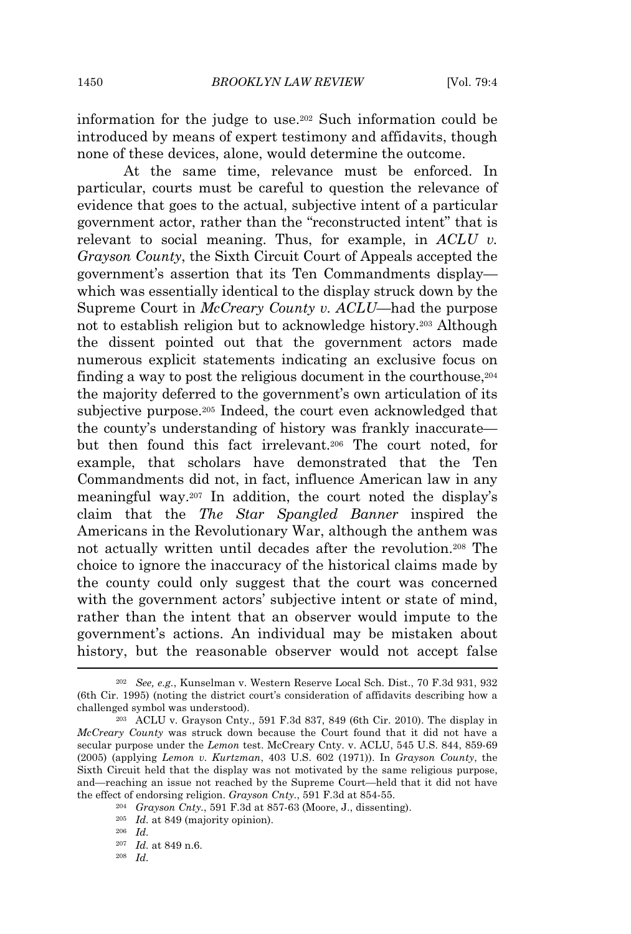information for the judge to use.<sup>202</sup> Such information could be introduced by means of expert testimony and affidavits, though none of these devices, alone, would determine the outcome.

At the same time, relevance must be enforced. In particular, courts must be careful to question the relevance of evidence that goes to the actual, subjective intent of a particular government actor, rather than the "reconstructed intent" that is relevant to social meaning. Thus, for example, in *ACLU v. Grayson County*, the Sixth Circuit Court of Appeals accepted the government's assertion that its Ten Commandments display which was essentially identical to the display struck down by the Supreme Court in *McCreary County v. ACLU*—had the purpose not to establish religion but to acknowledge history.<sup>203</sup> Although the dissent pointed out that the government actors made numerous explicit statements indicating an exclusive focus on finding a way to post the religious document in the courthouse,<sup>204</sup> the majority deferred to the government's own articulation of its subjective purpose.<sup>205</sup> Indeed, the court even acknowledged that the county's understanding of history was frankly inaccurate but then found this fact irrelevant.<sup>206</sup> The court noted, for example, that scholars have demonstrated that the Ten Commandments did not, in fact, influence American law in any meaningful way.<sup>207</sup> In addition, the court noted the display's claim that the *The Star Spangled Banner* inspired the Americans in the Revolutionary War, although the anthem was not actually written until decades after the revolution.<sup>208</sup> The choice to ignore the inaccuracy of the historical claims made by the county could only suggest that the court was concerned with the government actors' subjective intent or state of mind, rather than the intent that an observer would impute to the government's actions. An individual may be mistaken about history, but the reasonable observer would not accept false

<sup>202</sup> *See, e.g.*, Kunselman v. Western Reserve Local Sch. Dist., 70 F.3d 931, 932 (6th Cir. 1995) (noting the district court's consideration of affidavits describing how a challenged symbol was understood).

<sup>203</sup> ACLU v. Grayson Cnty., 591 F.3d 837, 849 (6th Cir. 2010). The display in *McCreary County* was struck down because the Court found that it did not have a secular purpose under the *Lemon* test. McCreary Cnty. v. ACLU, 545 U.S. 844, 859-69 (2005) (applying *Lemon v. Kurtzman*, 403 U.S. 602 (1971)). In *Grayson County*, the Sixth Circuit held that the display was not motivated by the same religious purpose, and—reaching an issue not reached by the Supreme Court—held that it did not have the effect of endorsing religion. *Grayson Cnty.*, 591 F.3d at 854-55.

<sup>204</sup> *Grayson Cnty.*, 591 F.3d at 857-63 (Moore, J., dissenting).

<sup>205</sup> *Id.* at 849 (majority opinion).

<sup>206</sup> *Id.*

<sup>207</sup> *Id.* at 849 n.6.

<sup>208</sup> *Id.*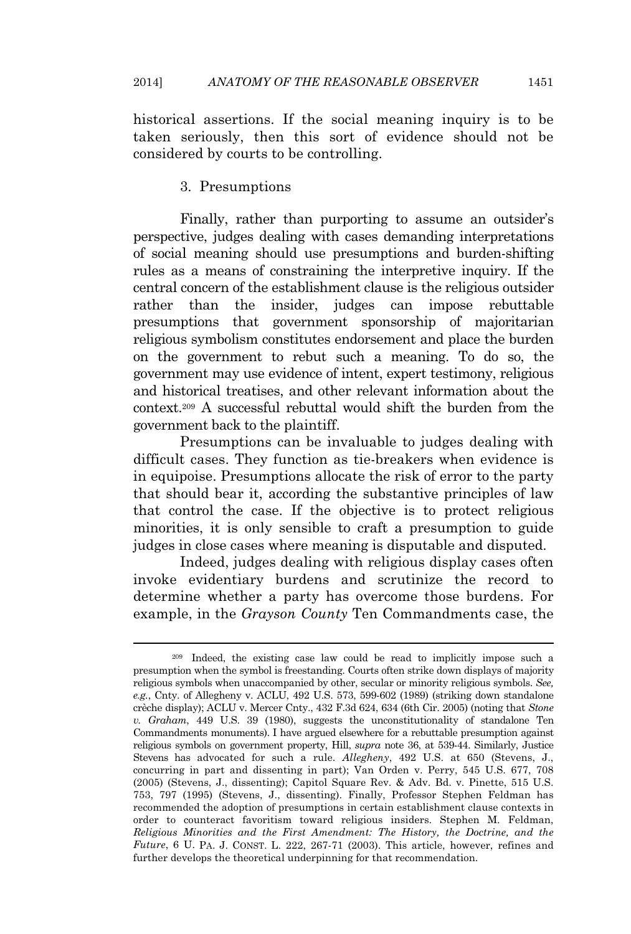historical assertions. If the social meaning inquiry is to be taken seriously, then this sort of evidence should not be considered by courts to be controlling.

### 3. Presumptions

Finally, rather than purporting to assume an outsider's perspective, judges dealing with cases demanding interpretations of social meaning should use presumptions and burden-shifting rules as a means of constraining the interpretive inquiry. If the central concern of the establishment clause is the religious outsider rather than the insider, judges can impose rebuttable presumptions that government sponsorship of majoritarian religious symbolism constitutes endorsement and place the burden on the government to rebut such a meaning. To do so, the government may use evidence of intent, expert testimony, religious and historical treatises, and other relevant information about the context.<sup>209</sup> A successful rebuttal would shift the burden from the government back to the plaintiff.

Presumptions can be invaluable to judges dealing with difficult cases. They function as tie-breakers when evidence is in equipoise. Presumptions allocate the risk of error to the party that should bear it, according the substantive principles of law that control the case. If the objective is to protect religious minorities, it is only sensible to craft a presumption to guide judges in close cases where meaning is disputable and disputed.

Indeed, judges dealing with religious display cases often invoke evidentiary burdens and scrutinize the record to determine whether a party has overcome those burdens. For example, in the *Grayson County* Ten Commandments case, the

<sup>209</sup> Indeed, the existing case law could be read to implicitly impose such a presumption when the symbol is freestanding. Courts often strike down displays of majority religious symbols when unaccompanied by other, secular or minority religious symbols. *See, e.g.*, Cnty. of Allegheny v. ACLU, 492 U.S. 573, 599-602 (1989) (striking down standalone crèche display); ACLU v. Mercer Cnty., 432 F.3d 624, 634 (6th Cir. 2005) (noting that *Stone v. Graham*, 449 U.S. 39 (1980), suggests the unconstitutionality of standalone Ten Commandments monuments). I have argued elsewhere for a rebuttable presumption against religious symbols on government property, Hill, *supra* note 36, at 539-44. Similarly, Justice Stevens has advocated for such a rule. *Allegheny*, 492 U.S. at 650 (Stevens, J., concurring in part and dissenting in part); Van Orden v. Perry, 545 U.S. 677, 708 (2005) (Stevens, J., dissenting); Capitol Square Rev. & Adv. Bd. v. Pinette, 515 U.S. 753, 797 (1995) (Stevens, J., dissenting). Finally, Professor Stephen Feldman has recommended the adoption of presumptions in certain establishment clause contexts in order to counteract favoritism toward religious insiders. Stephen M. Feldman, *Religious Minorities and the First Amendment: The History, the Doctrine, and the Future*, 6 U. PA. J. CONST. L. 222, 267-71 (2003). This article, however, refines and further develops the theoretical underpinning for that recommendation.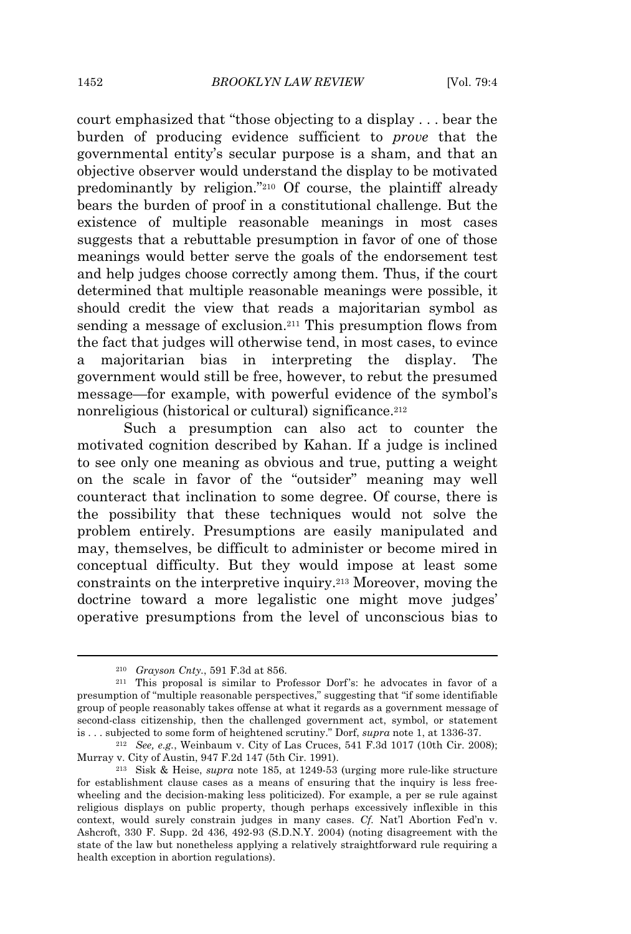court emphasized that "those objecting to a display . . . bear the burden of producing evidence sufficient to *prove* that the governmental entity's secular purpose is a sham, and that an objective observer would understand the display to be motivated predominantly by religion." <sup>210</sup> Of course, the plaintiff already bears the burden of proof in a constitutional challenge. But the existence of multiple reasonable meanings in most cases suggests that a rebuttable presumption in favor of one of those meanings would better serve the goals of the endorsement test and help judges choose correctly among them. Thus, if the court determined that multiple reasonable meanings were possible, it should credit the view that reads a majoritarian symbol as sending a message of exclusion.<sup>211</sup> This presumption flows from the fact that judges will otherwise tend, in most cases, to evince a majoritarian bias in interpreting the display. The government would still be free, however, to rebut the presumed message—for example, with powerful evidence of the symbol's nonreligious (historical or cultural) significance.<sup>212</sup>

Such a presumption can also act to counter the motivated cognition described by Kahan. If a judge is inclined to see only one meaning as obvious and true, putting a weight on the scale in favor of the "outsider" meaning may well counteract that inclination to some degree. Of course, there is the possibility that these techniques would not solve the problem entirely. Presumptions are easily manipulated and may, themselves, be difficult to administer or become mired in conceptual difficulty. But they would impose at least some constraints on the interpretive inquiry.<sup>213</sup> Moreover, moving the doctrine toward a more legalistic one might move judges' operative presumptions from the level of unconscious bias to

<sup>210</sup> *Grayson Cnty.*, 591 F.3d at 856.

<sup>211</sup> This proposal is similar to Professor Dorf's: he advocates in favor of a presumption of "multiple reasonable perspectives," suggesting that "if some identifiable group of people reasonably takes offense at what it regards as a government message of second-class citizenship, then the challenged government act, symbol, or statement is . . . subjected to some form of heightened scrutiny." Dorf, *supra* note 1, at 1336-37.

<sup>212</sup> *See, e.g.*, Weinbaum v. City of Las Cruces, 541 F.3d 1017 (10th Cir. 2008); Murray v. City of Austin, 947 F.2d 147 (5th Cir. 1991).

<sup>213</sup> Sisk & Heise, *supra* note 185, at 1249-53 (urging more rule-like structure for establishment clause cases as a means of ensuring that the inquiry is less freewheeling and the decision-making less politicized). For example, a per se rule against religious displays on public property, though perhaps excessively inflexible in this context, would surely constrain judges in many cases. *Cf.* Nat'l Abortion Fed'n v. Ashcroft, 330 F. Supp. 2d 436, 492-93 (S.D.N.Y. 2004) (noting disagreement with the state of the law but nonetheless applying a relatively straightforward rule requiring a health exception in abortion regulations).